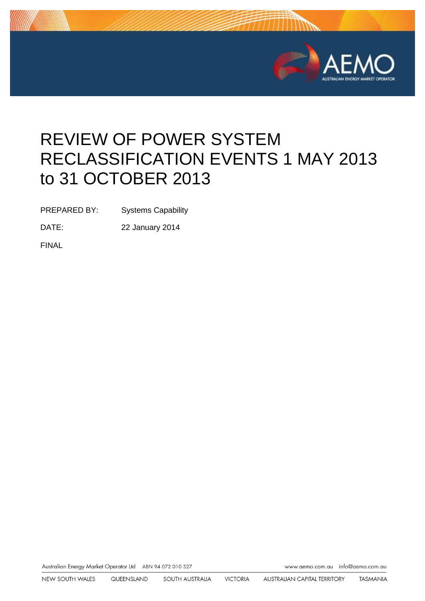

# REVIEW OF POWER SYSTEM RECLASSIFICATION EVENTS 1 MAY 2013 to 31 OCTOBER 2013

PREPARED BY: Systems Capability

DATE: 22 January 2014

FINAL

Australian Energy Market Operator Ltd ABN 94 072 010 327

www.aemo.com.au info@aemo.com.au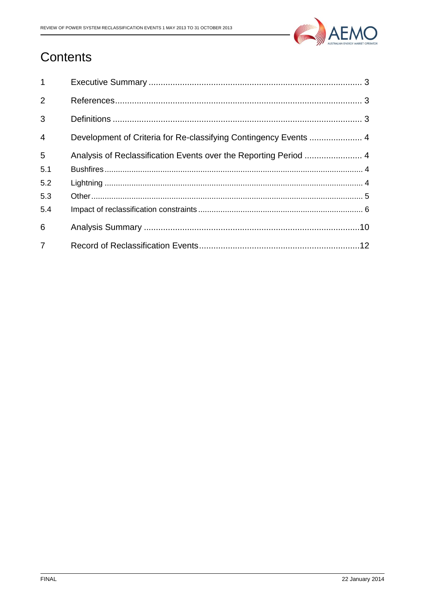

# Contents

| $\mathbf{1}$   |                                                                  |  |
|----------------|------------------------------------------------------------------|--|
| 2              |                                                                  |  |
| 3              |                                                                  |  |
| $\overline{4}$ | Development of Criteria for Re-classifying Contingency Events  4 |  |
| 5              | Analysis of Reclassification Events over the Reporting Period  4 |  |
| 5.1            |                                                                  |  |
| 5.2            |                                                                  |  |
| 5.3            |                                                                  |  |
| 5.4            |                                                                  |  |
| 6              |                                                                  |  |
| $\overline{7}$ |                                                                  |  |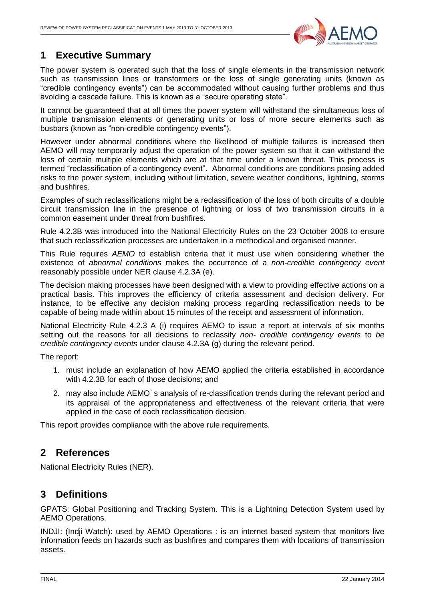

### <span id="page-2-0"></span>**1 Executive Summary**

The power system is operated such that the loss of single elements in the transmission network such as transmission lines or transformers or the loss of single generating units (known as "credible contingency events") can be accommodated without causing further problems and thus avoiding a cascade failure. This is known as a "secure operating state".

It cannot be guaranteed that at all times the power system will withstand the simultaneous loss of multiple transmission elements or generating units or loss of more secure elements such as busbars (known as "non-credible contingency events").

However under abnormal conditions where the likelihood of multiple failures is increased then AEMO will may temporarily adjust the operation of the power system so that it can withstand the loss of certain multiple elements which are at that time under a known threat. This process is termed "reclassification of a contingency event". Abnormal conditions are conditions posing added risks to the power system, including without limitation, severe weather conditions, lightning, storms and bushfires.

Examples of such reclassifications might be a reclassification of the loss of both circuits of a double circuit transmission line in the presence of lightning or loss of two transmission circuits in a common easement under threat from bushfires.

Rule 4.2.3B was introduced into the National Electricity Rules on the 23 October 2008 to ensure that such reclassification processes are undertaken in a methodical and organised manner.

This Rule requires *AEMO* to establish criteria that it must use when considering whether the existence of *abnormal conditions* makes the occurrence of a *non-credible contingency event*  reasonably possible under NER clause 4.2.3A (e).

The decision making processes have been designed with a view to providing effective actions on a practical basis. This improves the efficiency of criteria assessment and decision delivery. For instance, to be effective any decision making process regarding reclassification needs to be capable of being made within about 15 minutes of the receipt and assessment of information.

National Electricity Rule 4.2.3 A (i) requires AEMO to issue a report at intervals of six months setting out the reasons for all decisions to reclassify *non- credible contingency events* to *be credible contingency events* under clause 4.2.3A (g) during the relevant period.

The report:

- 1. must include an explanation of how AEMO applied the criteria established in accordance with 4.2.3B for each of those decisions; and
- 2. may also include AEMO's analysis of re-classification trends during the relevant period and its appraisal of the appropriateness and effectiveness of the relevant criteria that were applied in the case of each reclassification decision.

<span id="page-2-1"></span>This report provides compliance with the above rule requirements.

### **2 References**

<span id="page-2-2"></span>National Electricity Rules (NER).

#### **3 Definitions**

GPATS: Global Positioning and Tracking System. This is a Lightning Detection System used by AEMO Operations.

INDJI: (Indji Watch): used by AEMO Operations : is an internet based system that monitors live information feeds on hazards such as bushfires and compares them with locations of transmission assets.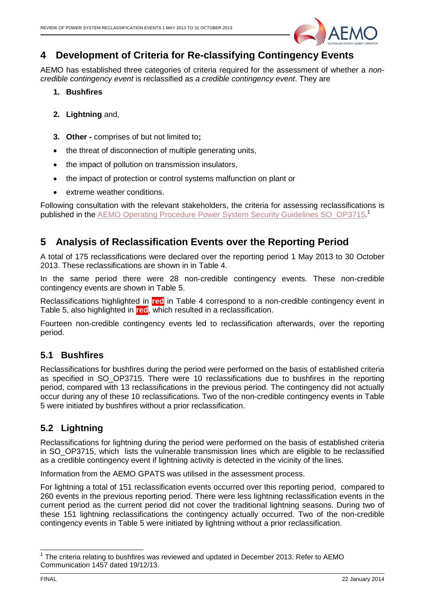

#### <span id="page-3-0"></span>**4 Development of Criteria for Re-classifying Contingency Events**

AEMO has established three categories of criteria required for the assessment of whether a *noncredible contingency event* is reclassified as *a credible contingency event*. They are

- **1. Bushfires**
- **2. Lightning** and,
- **3. Other -** comprises of but not limited to**;**
- the threat of disconnection of multiple generating units,
- the impact of pollution on transmission insulators,
- the impact of protection or control systems malfunction on plant or
- extreme weather conditions.

Following consultation with the relevant stakeholders, the criteria for assessing reclassifications is published in the **AEMO Operating Procedure Power System Security Guidelines SO\_OP3715.** 

#### <span id="page-3-1"></span>**5 Analysis of Reclassification Events over the Reporting Period**

A total of 175 reclassifications were declared over the reporting period 1 May 2013 to 30 October 2013. These reclassifications are shown in in [Table 4.](#page-11-1)

In the same period there were 28 non-credible contingency events. These non-credible contingency events are shown in [Table 5.](#page-23-0)

Reclassifications highlighted in **red** in [Table 4](#page-11-1) correspond to a non-credible contingency event in [Table 5,](#page-23-0) also highlighted in **red**, which resulted in a reclassification.

Fourteen non-credible contingency events led to reclassification afterwards, over the reporting period.

#### <span id="page-3-2"></span>**5.1 Bushfires**

Reclassifications for bushfires during the period were performed on the basis of established criteria as specified in SO OP3715. There were 10 reclassifications due to bushfires in the reporting period, compared with 13 reclassifications in the previous period. The contingency did not actually occur during any of these 10 reclassifications. Two of the non-credible contingency events in [Table](#page-23-0)  [5](#page-23-0) were initiated by bushfires without a prior reclassification.

#### <span id="page-3-3"></span>**5.2 Lightning**

Reclassifications for lightning during the period were performed on the basis of established criteria in SO\_OP3715, which lists the vulnerable transmission lines which are eligible to be reclassified as a credible contingency event if lightning activity is detected in the vicinity of the lines.

Information from the AEMO GPATS was utilised in the assessment process.

For lightning a total of 151 reclassification events occurred over this reporting period, compared to 260 events in the previous reporting period. There were less lightning reclassification events in the current period as the current period did not cover the traditional lightning seasons. During two of these 151 lightning reclassifications the contingency actually occurred. Two of the non-credible contingency events in [Table 5](#page-23-0) were initiated by lightning without a prior reclassification.

 $\overline{\phantom{a}}$ 

 $1$  The criteria relating to bushfires was reviewed and updated in December 2013. Refer to AEMO Communication 1457 dated 19/12/13.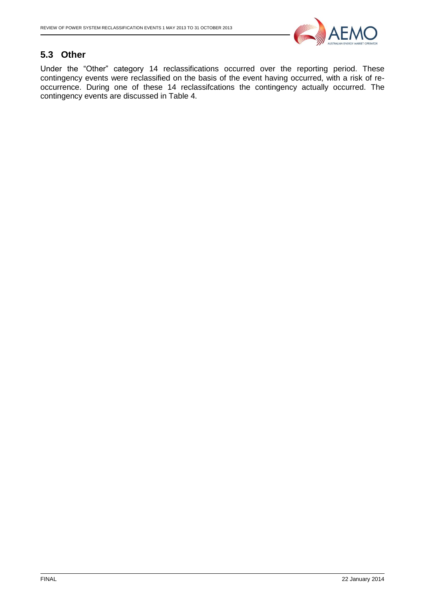

#### <span id="page-4-0"></span>**5.3 Other**

Under the "Other" category 14 reclassifications occurred over the reporting period. These contingency events were reclassified on the basis of the event having occurred, with a risk of reoccurrence. During one of these 14 reclassifcations the contingency actually occurred. The contingency events are discussed in [Table 4.](#page-11-1)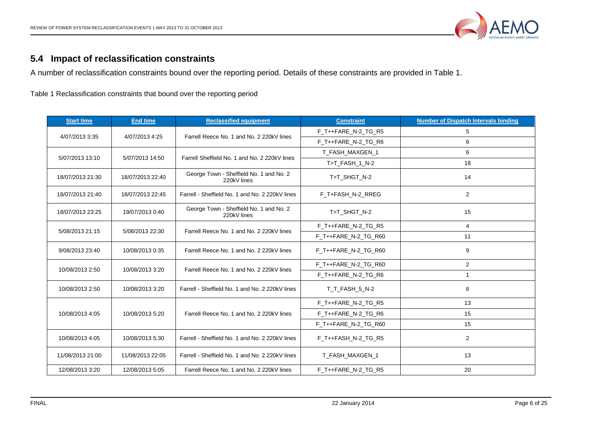

## **5.4 Impact of reclassification constraints**

A number of reclassification constraints bound over the reporting period. Details of these constraints are provided in Table 1.

Table 1 Reclassification constraints that bound over the reporting period

<span id="page-5-0"></span>

| <b>Start time</b> | <b>End time</b>  | <b>Reclassified equipment</b>                          | <b>Constraint</b>      | <b>Number of Dispatch Intervals binding</b> |
|-------------------|------------------|--------------------------------------------------------|------------------------|---------------------------------------------|
|                   |                  | Farrell Reece No. 1 and No. 2 220kV lines              | F_T++FARE_N-2_TG_R5    | 5                                           |
| 4/07/2013 3:35    | 4/07/2013 4:25   |                                                        | F_T++FARE_N-2_TG_R6    | 6                                           |
| 5/07/2013 13:10   | 5/07/2013 14:50  | Farrell Sheffield No. 1 and No. 2 220kV lines          | T_FASH_MAXGEN_1        | 6                                           |
|                   |                  |                                                        | T>T_FASH_1_N-2         | 18                                          |
| 18/07/2013 21:30  | 18/07/2013 22:40 | George Town - Sheffield No. 1 and No. 2<br>220kV lines | T>T_SHGT_N-2           | 14                                          |
| 18/07/2013 21:40  | 18/07/2013 22:45 | Farrell - Sheffield No. 1 and No. 2 220kV lines        | F T+FASH N-2 RREG      | $\overline{2}$                              |
| 18/07/2013 23:25  | 19/07/2013 0:40  | George Town - Sheffield No. 1 and No. 2<br>220kV lines | T>T SHGT N-2           | 15                                          |
| 5/08/2013 21:15   | 5/08/2013 22:30  | Farrell Reece No. 1 and No. 2 220kV lines              | F_T++FARE_N-2_TG_R5    | $\overline{4}$                              |
|                   |                  |                                                        | $F$ T++FARE N-2 TG R60 | 11                                          |
| 9/08/2013 23:40   | 10/08/2013 0:35  | Farrell Reece No. 1 and No. 2 220kV lines              | $F$ T++FARE N-2 TG R60 | 9                                           |
| 10/08/2013 2:50   | 10/08/2013 3:20  | Farrell Reece No. 1 and No. 2 220kV lines              | F_T++FARE_N-2_TG_R60   | $\overline{2}$                              |
|                   |                  |                                                        | F T++FARE N-2 TG R6    | $\mathbf{1}$                                |
| 10/08/2013 2:50   | 10/08/2013 3:20  | Farrell - Sheffield No. 1 and No. 2 220kV lines        | T_T_FASH_5_N-2         | 6                                           |
|                   |                  |                                                        | F_T++FARE_N-2_TG_R5    | 13                                          |
| 10/08/2013 4:05   | 10/08/2013 5:20  | Farrell Reece No. 1 and No. 2 220kV lines              | F_T++FARE_N-2_TG_R6    | 15                                          |
|                   |                  |                                                        | F_T++FARE_N-2_TG_R60   | 15                                          |
| 10/08/2013 4:05   | 10/08/2013 5:30  | Farrell - Sheffield No. 1 and No. 2 220kV lines        | F_T++FASH_N-2_TG_R5    | $\overline{2}$                              |
| 11/08/2013 21:00  | 11/08/2013 22:05 | Farrell - Sheffield No. 1 and No. 2 220kV lines        | T_FASH_MAXGEN_1        | 13                                          |
| 12/08/2013 3:20   | 12/08/2013 5:05  | Farrell Reece No. 1 and No. 2 220kV lines              | F_T++FARE_N-2_TG_R5    | 20                                          |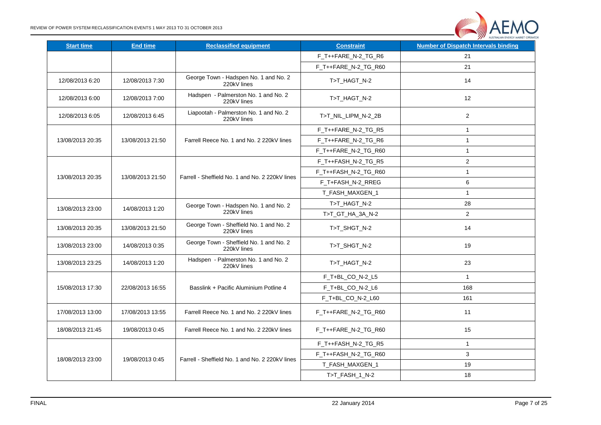

| <b>Start time</b> | <b>End time</b>  | <b>Reclassified equipment</b>                          | <b>Constraint</b>    | <b>Number of Dispatch Intervals binding</b> |
|-------------------|------------------|--------------------------------------------------------|----------------------|---------------------------------------------|
|                   |                  |                                                        | F_T++FARE_N-2_TG_R6  | 21                                          |
|                   |                  |                                                        | F_T++FARE_N-2_TG_R60 | 21                                          |
| 12/08/2013 6:20   | 12/08/2013 7:30  | George Town - Hadspen No. 1 and No. 2<br>220kV lines   | T>T HAGT N-2         | 14                                          |
| 12/08/2013 6:00   | 12/08/2013 7:00  | Hadspen - Palmerston No. 1 and No. 2<br>220kV lines    | T>T_HAGT_N-2         | 12                                          |
| 12/08/2013 6:05   | 12/08/2013 6:45  | Liapootah - Palmerston No. 1 and No. 2<br>220kV lines  | T>T_NIL_LIPM_N-2_2B  | $\overline{2}$                              |
|                   |                  |                                                        | F_T++FARE_N-2_TG_R5  | $\mathbf{1}$                                |
| 13/08/2013 20:35  | 13/08/2013 21:50 | Farrell Reece No. 1 and No. 2 220kV lines              | F_T++FARE_N-2_TG_R6  | $\mathbf{1}$                                |
|                   |                  |                                                        | F_T++FARE_N-2_TG_R60 | $\mathbf{1}$                                |
|                   |                  |                                                        | F_T++FASH_N-2_TG_R5  | $\sqrt{2}$                                  |
| 13/08/2013 20:35  | 13/08/2013 21:50 | Farrell - Sheffield No. 1 and No. 2 220kV lines        | F_T++FASH_N-2_TG_R60 | $\mathbf{1}$                                |
|                   |                  |                                                        | F_T+FASH_N-2_RREG    | 6                                           |
|                   |                  |                                                        | T_FASH_MAXGEN_1      | $\mathbf{1}$                                |
|                   |                  | George Town - Hadspen No. 1 and No. 2                  | T>T_HAGT_N-2         | 28                                          |
| 13/08/2013 23:00  | 14/08/2013 1:20  | 220kV lines                                            | T>T_GT_HA_3A_N-2     | 2                                           |
| 13/08/2013 20:35  | 13/08/2013 21:50 | George Town - Sheffield No. 1 and No. 2<br>220kV lines | T>T_SHGT_N-2         | 14                                          |
| 13/08/2013 23:00  | 14/08/2013 0:35  | George Town - Sheffield No. 1 and No. 2<br>220kV lines | T>T_SHGT_N-2         | 19                                          |
| 13/08/2013 23:25  | 14/08/2013 1:20  | Hadspen - Palmerston No. 1 and No. 2<br>220kV lines    | T>T_HAGT_N-2         | 23                                          |
|                   |                  |                                                        | F_T+BL_CO_N-2_L5     | $\mathbf{1}$                                |
| 15/08/2013 17:30  | 22/08/2013 16:55 | Basslink + Pacific Aluminium Potline 4                 | F_T+BL_CO_N-2_L6     | 168                                         |
|                   |                  |                                                        | F_T+BL_CO_N-2_L60    | 161                                         |
| 17/08/2013 13:00  | 17/08/2013 13:55 | Farrell Reece No. 1 and No. 2 220kV lines              | F_T++FARE_N-2_TG_R60 | 11                                          |
| 18/08/2013 21:45  | 19/08/2013 0:45  | Farrell Reece No. 1 and No. 2 220kV lines              | F_T++FARE_N-2_TG_R60 | 15                                          |
|                   |                  |                                                        | F_T++FASH_N-2_TG_R5  | $\mathbf{1}$                                |
|                   |                  |                                                        | F_T++FASH_N-2_TG_R60 | 3                                           |
| 18/08/2013 23:00  | 19/08/2013 0:45  | Farrell - Sheffield No. 1 and No. 2 220kV lines        | T_FASH_MAXGEN_1      | 19                                          |
|                   |                  |                                                        | T>T_FASH_1_N-2       | 18                                          |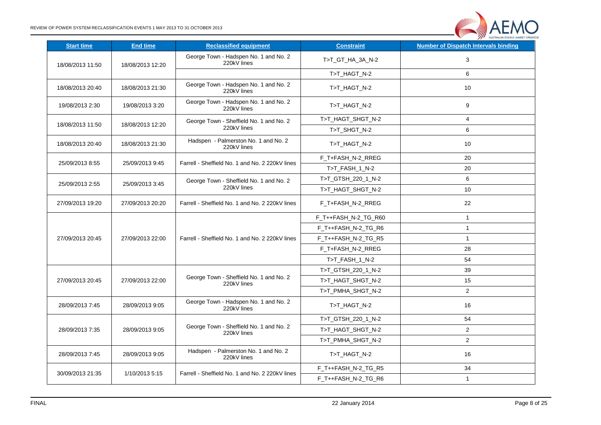

| <b>Start time</b> | <b>End time</b>  | <b>Reclassified equipment</b>                          | <b>Constraint</b>    | AUSTRALIAN ENERGY MARKET OFF<br><b>Number of Dispatch Intervals binding</b> |
|-------------------|------------------|--------------------------------------------------------|----------------------|-----------------------------------------------------------------------------|
| 18/08/2013 11:50  | 18/08/2013 12:20 | George Town - Hadspen No. 1 and No. 2<br>220kV lines   | T>T_GT_HA_3A_N-2     | 3                                                                           |
|                   |                  |                                                        | T>T_HAGT_N-2         | 6                                                                           |
| 18/08/2013 20:40  | 18/08/2013 21:30 | George Town - Hadspen No. 1 and No. 2<br>220kV lines   | T>T HAGT N-2         | 10                                                                          |
| 19/08/2013 2:30   | 19/08/2013 3:20  | George Town - Hadspen No. 1 and No. 2<br>220kV lines   | T>T_HAGT_N-2         | 9                                                                           |
| 18/08/2013 11:50  | 18/08/2013 12:20 | George Town - Sheffield No. 1 and No. 2                | T>T_HAGT_SHGT_N-2    | 4                                                                           |
|                   |                  | 220kV lines                                            | T>T_SHGT_N-2         | 6                                                                           |
| 18/08/2013 20:40  | 18/08/2013 21:30 | Hadspen - Palmerston No. 1 and No. 2<br>220kV lines    | T>T_HAGT_N-2         | 10                                                                          |
| 25/09/2013 8:55   | 25/09/2013 9:45  | Farrell - Sheffield No. 1 and No. 2 220kV lines        | F_T+FASH_N-2_RREG    | 20                                                                          |
|                   |                  |                                                        | T>T_FASH_1_N-2       | 20                                                                          |
| 25/09/2013 2:55   | 25/09/2013 3:45  | George Town - Sheffield No. 1 and No. 2                | T>T_GTSH_220_1_N-2   | 6                                                                           |
|                   |                  | 220kV lines                                            | T>T_HAGT_SHGT_N-2    | 10                                                                          |
| 27/09/2013 19:20  | 27/09/2013 20:20 | Farrell - Sheffield No. 1 and No. 2 220kV lines        | F_T+FASH_N-2_RREG    | 22                                                                          |
|                   |                  |                                                        | F_T++FASH_N-2_TG_R60 | $\mathbf{1}$                                                                |
|                   |                  |                                                        | F_T++FASH_N-2_TG_R6  | $\mathbf{1}$                                                                |
| 27/09/2013 20:45  | 27/09/2013 22:00 | Farrell - Sheffield No. 1 and No. 2 220kV lines        | F_T++FASH_N-2_TG_R5  | $\mathbf{1}$                                                                |
|                   |                  |                                                        | F_T+FASH_N-2_RREG    | 28                                                                          |
|                   |                  |                                                        | T>T_FASH_1_N-2       | 54                                                                          |
|                   |                  |                                                        | T>T_GTSH_220_1_N-2   | 39                                                                          |
| 27/09/2013 20:45  | 27/09/2013 22:00 | George Town - Sheffield No. 1 and No. 2<br>220kV lines | T>T_HAGT_SHGT_N-2    | 15                                                                          |
|                   |                  |                                                        | T>T_PMHA_SHGT_N-2    | $\overline{2}$                                                              |
| 28/09/2013 7:45   | 28/09/2013 9:05  | George Town - Hadspen No. 1 and No. 2<br>220kV lines   | T>T_HAGT_N-2         | 16                                                                          |
|                   |                  |                                                        | T>T_GTSH_220_1_N-2   | 54                                                                          |
| 28/09/2013 7:35   | 28/09/2013 9:05  | George Town - Sheffield No. 1 and No. 2<br>220kV lines | T>T_HAGT_SHGT_N-2    | $\overline{a}$                                                              |
|                   |                  |                                                        | T>T_PMHA_SHGT_N-2    | $\overline{a}$                                                              |
| 28/09/2013 7:45   | 28/09/2013 9:05  | Hadspen - Palmerston No. 1 and No. 2<br>220kV lines    | T>T_HAGT_N-2         | 16                                                                          |
|                   |                  |                                                        | F_T++FASH_N-2_TG_R5  | 34                                                                          |
| 30/09/2013 21:35  | 1/10/2013 5:15   | Farrell - Sheffield No. 1 and No. 2 220kV lines        | F_T++FASH_N-2_TG_R6  | $\mathbf{1}$                                                                |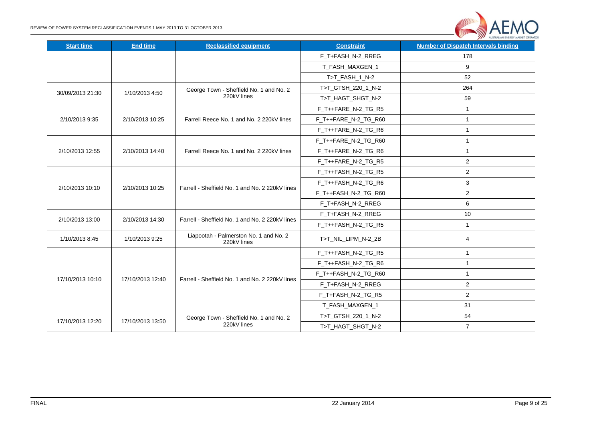

| <b>Start time</b> | <b>End time</b>  | <b>Reclassified equipment</b>                         | <b>Constraint</b>    | <b>Number of Dispatch Intervals binding</b> |
|-------------------|------------------|-------------------------------------------------------|----------------------|---------------------------------------------|
|                   |                  |                                                       | F_T+FASH_N-2_RREG    | 178                                         |
|                   |                  |                                                       | T FASH MAXGEN 1      | 9                                           |
|                   |                  |                                                       | T>T_FASH_1_N-2       | 52                                          |
|                   |                  | George Town - Sheffield No. 1 and No. 2               | T>T_GTSH_220_1_N-2   | 264                                         |
| 30/09/2013 21:30  | 1/10/2013 4:50   | 220kV lines                                           | T>T_HAGT_SHGT_N-2    | 59                                          |
|                   |                  |                                                       | F_T++FARE_N-2_TG_R5  | $\mathbf{1}$                                |
| 2/10/2013 9:35    | 2/10/2013 10:25  | Farrell Reece No. 1 and No. 2 220kV lines             | F_T++FARE_N-2_TG_R60 | $\mathbf{1}$                                |
|                   |                  |                                                       | F_T++FARE_N-2_TG_R6  | $\mathbf{1}$                                |
|                   |                  |                                                       | F_T++FARE_N-2_TG_R60 | $\mathbf{1}$                                |
| 2/10/2013 12:55   | 2/10/2013 14:40  | Farrell Reece No. 1 and No. 2 220kV lines             | F_T++FARE_N-2_TG_R6  | $\mathbf{1}$                                |
|                   |                  |                                                       | F_T++FARE_N-2_TG_R5  | $\overline{2}$                              |
|                   |                  |                                                       | F_T++FASH_N-2_TG_R5  | $\overline{2}$                              |
| 2/10/2013 10:10   | 2/10/2013 10:25  | Farrell - Sheffield No. 1 and No. 2 220kV lines       | F_T++FASH_N-2_TG_R6  | 3                                           |
|                   |                  |                                                       | F_T++FASH_N-2_TG_R60 | $\overline{a}$                              |
|                   |                  |                                                       | F_T+FASH_N-2_RREG    | 6                                           |
| 2/10/2013 13:00   | 2/10/2013 14:30  | Farrell - Sheffield No. 1 and No. 2 220kV lines       | F_T+FASH_N-2_RREG    | 10                                          |
|                   |                  |                                                       | F_T++FASH_N-2_TG_R5  | $\mathbf{1}$                                |
| 1/10/2013 8:45    | 1/10/2013 9:25   | Liapootah - Palmerston No. 1 and No. 2<br>220kV lines | T>T NIL LIPM N-2 2B  | 4                                           |
|                   |                  |                                                       | F_T++FASH_N-2_TG_R5  | $\mathbf{1}$                                |
|                   |                  |                                                       | F_T++FASH_N-2_TG_R6  | $\mathbf{1}$                                |
|                   |                  |                                                       | F_T++FASH_N-2_TG_R60 | $\mathbf{1}$                                |
| 17/10/2013 10:10  | 17/10/2013 12:40 | Farrell - Sheffield No. 1 and No. 2 220kV lines       | F_T+FASH_N-2_RREG    | $\overline{2}$                              |
|                   |                  |                                                       | F_T+FASH_N-2_TG_R5   | $\overline{a}$                              |
|                   |                  |                                                       | T_FASH_MAXGEN_1      | 31                                          |
|                   | 17/10/2013 13:50 | George Town - Sheffield No. 1 and No. 2               | T>T_GTSH_220_1_N-2   | 54                                          |
| 17/10/2013 12:20  |                  | 220kV lines                                           | T>T_HAGT_SHGT_N-2    | $\overline{7}$                              |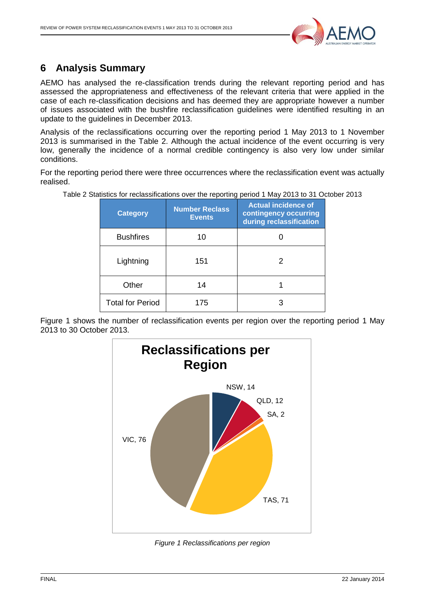

### <span id="page-9-0"></span>**6 Analysis Summary**

AEMO has analysed the re-classification trends during the relevant reporting period and has assessed the appropriateness and effectiveness of the relevant criteria that were applied in the case of each re-classification decisions and has deemed they are appropriate however a number of issues associated with the bushfire reclassification guidelines were identified resulting in an update to the guidelines in December 2013.

Analysis of the reclassifications occurring over the reporting period 1 May 2013 to 1 November 2013 is summarised in the [Table 2.](#page-9-1) Although the actual incidence of the event occurring is very low, generally the incidence of a normal credible contingency is also very low under similar conditions.

<span id="page-9-1"></span>For the reporting period there were three occurrences where the reclassification event was actually realised.

| <b>Category</b>         | <b>Number Reclass</b><br><b>Events</b> | <b>Actual incidence of</b><br>contingency occurring<br>during reclassification |
|-------------------------|----------------------------------------|--------------------------------------------------------------------------------|
| <b>Bushfires</b>        | 10                                     |                                                                                |
| Lightning               | 151                                    |                                                                                |
| Other                   | 14                                     |                                                                                |
| <b>Total for Period</b> | 175                                    |                                                                                |

Table 2 Statistics for reclassifications over the reporting period 1 May 2013 to 31 October 2013

Figure 1 shows the number of reclassification events per region over the reporting period 1 May 2013 to 30 October 2013.



*Figure 1 Reclassifications per region*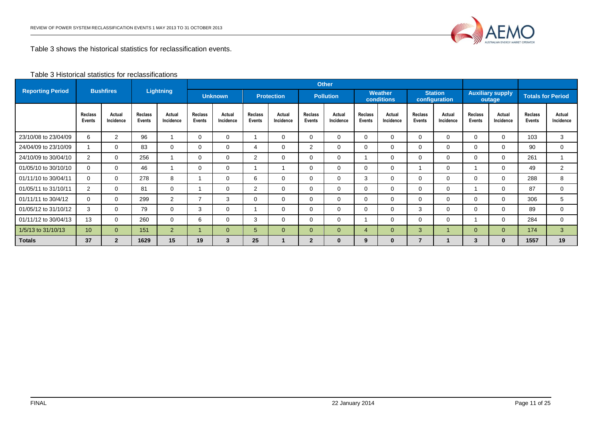

Table 3 shows the historical statistics for reclassification events.

#### Table 3 Historical statistics for reclassifications

|                         |                          |                     |                          |                      |                          | <b>Other</b>                        |                   |                     |                          |                              |                   |                                 |                   |                                   |                          |                     |                   |                     |
|-------------------------|--------------------------|---------------------|--------------------------|----------------------|--------------------------|-------------------------------------|-------------------|---------------------|--------------------------|------------------------------|-------------------|---------------------------------|-------------------|-----------------------------------|--------------------------|---------------------|-------------------|---------------------|
| <b>Reporting Period</b> |                          | <b>Bushfires</b>    |                          | <b>Lightning</b>     |                          | <b>Unknown</b><br><b>Protection</b> |                   | <b>Pollution</b>    |                          | Weather<br><b>conditions</b> |                   | <b>Station</b><br>configuration |                   | <b>Auxiliary supply</b><br>outage | <b>Totals for Period</b> |                     |                   |                     |
|                         | Reclass<br><b>Events</b> | Actual<br>Incidence | <b>Reclass</b><br>Events | Actual<br>Incidence  | <b>Reclass</b><br>Events | Actual<br>Incidence                 | Reclass<br>Events | Actual<br>Incidence | <b>Reclass</b><br>Events | Actual<br>Incidence          | Reclass<br>Events | Actual<br>Incidence             | Reclass<br>Events | Actual<br>Incidence               | Reclass<br>Events        | Actual<br>Incidence | Reclass<br>Events | Actual<br>Incidence |
| 23/10/08 to 23/04/09    | 6                        | 2                   | 96                       |                      | 0                        | $\mathbf 0$                         |                   | $\Omega$            | 0                        | 0                            | $\Omega$          | 0                               | $\Omega$          | $\Omega$                          | 0                        | $\Omega$            | 103               | $\mathbf{3}$        |
| 24/04/09 to 23/10/09    |                          | $\mathbf{0}$        | 83                       | 0                    | 0                        | $\mathbf 0$                         | 4                 | $\Omega$            | 2                        | 0                            | $\Omega$          | 0                               | $\Omega$          | 0                                 | 0                        | $\Omega$            | 90                | $\mathbf 0$         |
| 24/10/09 to 30/04/10    | 2                        | $\Omega$            | 256                      |                      | 0                        | 0                                   | $\overline{2}$    | $\Omega$            | $\Omega$                 | 0                            |                   | $\Omega$                        | $\Omega$          | $\Omega$                          | $\Omega$                 | 0                   | 261               |                     |
| 01/05/10 to 30/10/10    | $\Omega$                 | $\mathbf{0}$        | 46                       |                      | 0                        | $\mathbf 0$                         |                   |                     | 0                        | 0                            | $\Omega$          | 0                               |                   | 0                                 |                          | 0                   | 49                | $\overline{2}$      |
| 01/11/10 to 30/04/11    | $\Omega$                 | $\Omega$            | 278                      | 8                    |                          | $\mathbf 0$                         | 6                 | $\Omega$            | $\Omega$                 | 0                            | 3                 | $\Omega$                        | $\Omega$          | $\Omega$                          | $\Omega$                 | $\Omega$            | 288               | 8                   |
| 01/05/11 to 31/10/11    | $\overline{2}$           | $\mathbf 0$         | 81                       | 0                    |                          | $\mathbf 0$                         | $\overline{2}$    | $\Omega$            | $\Omega$                 | 0                            | $\Omega$          | $\Omega$                        | $\Omega$          | $\Omega$                          |                          | 0                   | 87                | $\Omega$            |
| 01/11/11 to 30/4/12     | $\Omega$                 | $\mathbf{0}$        | 299                      | $\mathbf{2}^{\circ}$ | $\overline{\phantom{a}}$ | 3                                   | $\mathbf 0$       | $\Omega$            | $\Omega$                 | 0                            | $\Omega$          | $\Omega$                        | 0                 | $\Omega$                          | $\Omega$                 | $\Omega$            | 306               | 5                   |
| 01/05/12 to 31/10/12    | 3                        | 0                   | 79                       | 0                    | 3                        | $\mathbf 0$                         |                   | 0                   | 0                        | 0                            | $\Omega$          | $\Omega$                        | 3                 | $\Omega$                          | 0                        | 0                   | 89                | $\mathbf 0$         |
| 01/11/12 to 30/04/13    | 13                       | $\Omega$            | 260                      | $\Omega$             | 6                        | $\mathbf 0$                         | 3                 | $\Omega$            | $\Omega$                 | 0                            |                   | $\Omega$                        | 0                 | $\Omega$                          |                          | $\Omega$            | 284               | $\Omega$            |
| 1/5/13 to 31/10/13      | 10 <sup>°</sup>          | $\overline{0}$      | 151                      | 2 <sup>1</sup>       |                          | $\mathbf{0}$                        | 5                 | $\mathbf{0}$        | $\Omega$                 | $\overline{0}$               | 4                 | $\mathbf{0}$                    | 3                 |                                   | $\overline{0}$           | $\Omega$            | 174               | $\mathbf{3}$        |
| <b>Totals</b>           | 37                       | $\overline{2}$      | 1629                     | 15                   | 19                       | 3                                   | 25                |                     | $\overline{2}$           | 0                            | 9                 | $\bf{0}$                        |                   |                                   | 3                        | $\bf{0}$            | 1557              | 19                  |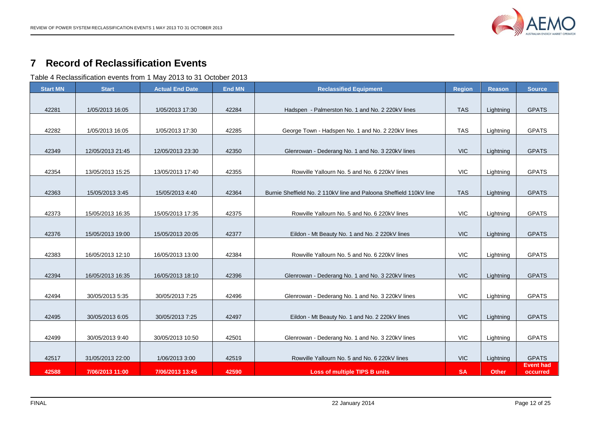

#### **Record of Reclassification Events**

Table 4 Reclassification events from 1 May 2013 to 31 October 2013

<span id="page-11-1"></span><span id="page-11-0"></span>

| <b>Start MN</b> | <b>Start</b>     | <b>Actual End Date</b> | <b>End MN</b> | <b>Reclassified Equipment</b>                                      | <b>Region</b> | <b>Reason</b> | <b>Source</b>                |
|-----------------|------------------|------------------------|---------------|--------------------------------------------------------------------|---------------|---------------|------------------------------|
| 42281           | 1/05/2013 16:05  | 1/05/2013 17:30        | 42284         | Hadspen - Palmerston No. 1 and No. 2 220kV lines                   | <b>TAS</b>    | Lightning     | <b>GPATS</b>                 |
|                 |                  |                        |               |                                                                    |               |               |                              |
| 42282           | 1/05/2013 16:05  | 1/05/2013 17:30        | 42285         | George Town - Hadspen No. 1 and No. 2 220kV lines                  | <b>TAS</b>    | Lightning     | <b>GPATS</b>                 |
|                 |                  |                        |               |                                                                    |               |               |                              |
| 42349           | 12/05/2013 21:45 | 12/05/2013 23:30       | 42350         | Glenrowan - Dederang No. 1 and No. 3 220kV lines                   | <b>VIC</b>    | Lightning     | <b>GPATS</b>                 |
|                 |                  |                        |               |                                                                    |               |               |                              |
| 42354           | 13/05/2013 15:25 | 13/05/2013 17:40       | 42355         | Rowville Yallourn No. 5 and No. 6 220kV lines                      | <b>VIC</b>    | Lightning     | <b>GPATS</b>                 |
|                 |                  |                        |               |                                                                    |               |               |                              |
| 42363           | 15/05/2013 3:45  | 15/05/2013 4:40        | 42364         | Burnie Sheffield No. 2 110kV line and Paloona Sheffield 110kV line | <b>TAS</b>    | Lightning     | <b>GPATS</b>                 |
| 42373           | 15/05/2013 16:35 | 15/05/2013 17:35       | 42375         | Rowville Yallourn No. 5 and No. 6 220kV lines                      | <b>VIC</b>    | Lightning     | <b>GPATS</b>                 |
|                 |                  |                        |               |                                                                    |               |               |                              |
| 42376           | 15/05/2013 19:00 | 15/05/2013 20:05       | 42377         | Eildon - Mt Beauty No. 1 and No. 2 220kV lines                     | <b>VIC</b>    | Lightning     | <b>GPATS</b>                 |
|                 |                  |                        |               |                                                                    |               |               |                              |
| 42383           | 16/05/2013 12:10 | 16/05/2013 13:00       | 42384         | Rowville Yallourn No. 5 and No. 6 220kV lines                      | <b>VIC</b>    | Lightning     | <b>GPATS</b>                 |
|                 |                  |                        |               |                                                                    |               |               |                              |
| 42394           | 16/05/2013 16:35 | 16/05/2013 18:10       | 42396         | Glenrowan - Dederang No. 1 and No. 3 220kV lines                   | <b>VIC</b>    | Lightning     | <b>GPATS</b>                 |
|                 |                  |                        |               |                                                                    |               |               |                              |
| 42494           | 30/05/2013 5:35  | 30/05/2013 7:25        | 42496         | Glenrowan - Dederang No. 1 and No. 3 220kV lines                   | <b>VIC</b>    | Lightning     | <b>GPATS</b>                 |
|                 |                  |                        |               |                                                                    |               |               |                              |
| 42495           | 30/05/2013 6:05  | 30/05/2013 7:25        | 42497         | Eildon - Mt Beauty No. 1 and No. 2 220kV lines                     | <b>VIC</b>    | Lightning     | <b>GPATS</b>                 |
| 42499           | 30/05/2013 9:40  | 30/05/2013 10:50       | 42501         | Glenrowan - Dederang No. 1 and No. 3 220kV lines                   | <b>VIC</b>    | Lightning     | <b>GPATS</b>                 |
|                 |                  |                        |               |                                                                    |               |               |                              |
| 42517           | 31/05/2013 22:00 | 1/06/2013 3:00         | 42519         | Rowville Yallourn No. 5 and No. 6 220kV lines                      | <b>VIC</b>    | Lightning     | <b>GPATS</b>                 |
| 42588           | 7/06/2013 11:00  | 7/06/2013 13:45        | 42590         | <b>Loss of multiple TIPS B units</b>                               | <b>SA</b>     | <b>Other</b>  | <b>Event had</b><br>occurred |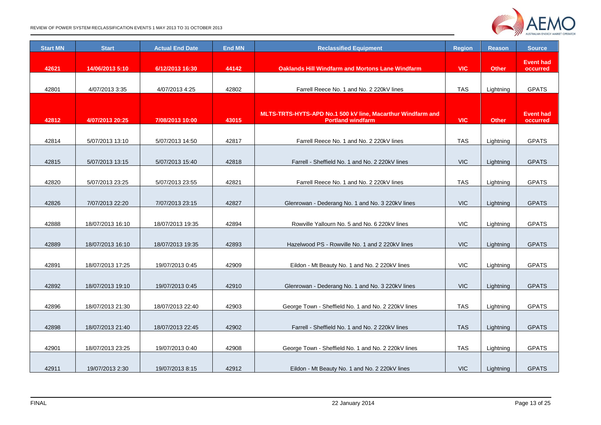

REVIEW OF POWER SYSTEM RECLASSIFICATION EVENTS 1 MAY 2013 TO 31 OCTOBER 2013

| <b>Start MN</b> | <b>Start</b>     | <b>Actual End Date</b> | <b>End MN</b> | <b>Reclassified Equipment</b>                               | <b>Region</b> | <b>Reason</b> | <b>Source</b>                |
|-----------------|------------------|------------------------|---------------|-------------------------------------------------------------|---------------|---------------|------------------------------|
| 42621           | 14/06/2013 5:10  | 6/12/2013 16:30        | 44142         | <b>Oaklands Hill Windfarm and Mortons Lane Windfarm</b>     | <b>VIC</b>    | <b>Other</b>  | <b>Event had</b><br>occurred |
|                 |                  |                        |               |                                                             |               |               |                              |
| 42801           | 4/07/2013 3:35   | 4/07/2013 4:25         | 42802         | Farrell Reece No. 1 and No. 2 220kV lines                   | <b>TAS</b>    | Lightning     | <b>GPATS</b>                 |
|                 |                  |                        |               |                                                             |               |               |                              |
|                 |                  |                        |               | MLTS-TRTS-HYTS-APD No.1 500 kV line, Macarthur Windfarm and |               |               | <b>Event had</b>             |
| 42812           | 4/07/2013 20:25  | 7/08/2013 10:00        | 43015         | <b>Portland windfarm</b>                                    | <b>VIC</b>    | <b>Other</b>  | occurred                     |
|                 |                  |                        |               |                                                             |               |               |                              |
| 42814           | 5/07/2013 13:10  | 5/07/2013 14:50        | 42817         | Farrell Reece No. 1 and No. 2 220kV lines                   | <b>TAS</b>    | Lightning     | <b>GPATS</b>                 |
| 42815           | 5/07/2013 13:15  | 5/07/2013 15:40        | 42818         | Farrell - Sheffield No. 1 and No. 2 220kV lines             | <b>VIC</b>    | Lightning     | <b>GPATS</b>                 |
|                 |                  |                        |               |                                                             |               |               |                              |
| 42820           | 5/07/2013 23:25  | 5/07/2013 23:55        | 42821         | Farrell Reece No. 1 and No. 2 220kV lines                   | <b>TAS</b>    | Lightning     | <b>GPATS</b>                 |
|                 |                  |                        |               |                                                             |               |               |                              |
| 42826           | 7/07/2013 22:20  | 7/07/2013 23:15        | 42827         | Glenrowan - Dederang No. 1 and No. 3 220kV lines            | <b>VIC</b>    | Lightning     | <b>GPATS</b>                 |
|                 |                  |                        |               |                                                             |               |               |                              |
| 42888           | 18/07/2013 16:10 | 18/07/2013 19:35       | 42894         | Rowville Yallourn No. 5 and No. 6 220kV lines               | <b>VIC</b>    | Lightning     | <b>GPATS</b>                 |
|                 |                  |                        |               |                                                             |               |               |                              |
| 42889           | 18/07/2013 16:10 | 18/07/2013 19:35       | 42893         | Hazelwood PS - Rowville No. 1 and 2 220kV lines             | <b>VIC</b>    | Lightning     | <b>GPATS</b>                 |
| 42891           | 18/07/2013 17:25 | 19/07/2013 0:45        | 42909         | Eildon - Mt Beauty No. 1 and No. 2 220kV lines              | <b>VIC</b>    | Lightning     | <b>GPATS</b>                 |
|                 |                  |                        |               |                                                             |               |               |                              |
| 42892           | 18/07/2013 19:10 | 19/07/2013 0:45        | 42910         | Glenrowan - Dederang No. 1 and No. 3 220kV lines            | <b>VIC</b>    | Lightning     | <b>GPATS</b>                 |
|                 |                  |                        |               |                                                             |               |               |                              |
| 42896           | 18/07/2013 21:30 | 18/07/2013 22:40       | 42903         | George Town - Sheffield No. 1 and No. 2 220kV lines         | <b>TAS</b>    | Lightning     | <b>GPATS</b>                 |
|                 |                  |                        |               |                                                             |               |               |                              |
| 42898           | 18/07/2013 21:40 | 18/07/2013 22:45       | 42902         | Farrell - Sheffield No. 1 and No. 2 220kV lines             | <b>TAS</b>    | Lightning     | <b>GPATS</b>                 |
| 42901           |                  |                        | 42908         |                                                             | <b>TAS</b>    |               |                              |
|                 | 18/07/2013 23:25 | 19/07/2013 0:40        |               | George Town - Sheffield No. 1 and No. 2 220kV lines         |               | Lightning     | <b>GPATS</b>                 |
| 42911           | 19/07/2013 2:30  | 19/07/2013 8:15        | 42912         | Eildon - Mt Beauty No. 1 and No. 2 220kV lines              | <b>VIC</b>    | Lightning     | <b>GPATS</b>                 |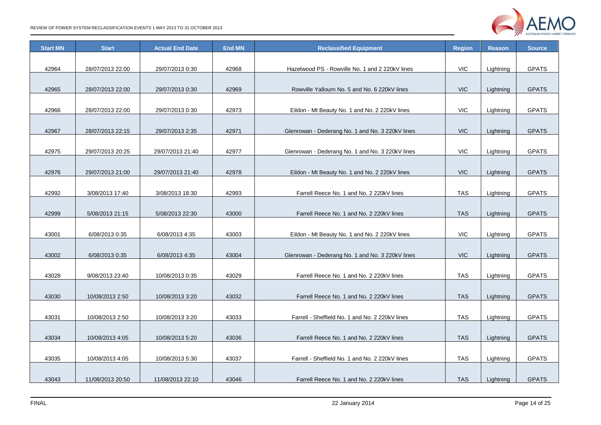

| <b>Start MN</b> | <b>Start</b>     | <b>Actual End Date</b> | <b>End MN</b> | <b>Reclassified Equipment</b>                    | <b>Region</b> | <b>Reason</b> | <b>Source</b> |
|-----------------|------------------|------------------------|---------------|--------------------------------------------------|---------------|---------------|---------------|
|                 |                  |                        |               |                                                  |               |               |               |
| 42964           | 28/07/2013 22:00 | 29/07/2013 0:30        | 42968         | Hazelwood PS - Rowville No. 1 and 2 220kV lines  | VIC           | Lightning     | <b>GPATS</b>  |
|                 |                  |                        |               |                                                  |               |               |               |
| 42965           | 28/07/2013 22:00 | 29/07/2013 0:30        | 42969         | Rowville Yallourn No. 5 and No. 6 220kV lines    | <b>VIC</b>    | Lightning     | <b>GPATS</b>  |
|                 |                  |                        |               |                                                  |               |               |               |
| 42966           | 28/07/2013 22:00 | 29/07/2013 0:30        | 42973         | Eildon - Mt Beauty No. 1 and No. 2 220kV lines   | VIC           | Lightning     | <b>GPATS</b>  |
|                 |                  |                        |               |                                                  |               |               |               |
| 42967           | 28/07/2013 22:15 | 29/07/2013 2:35        | 42971         | Glenrowan - Dederang No. 1 and No. 3 220kV lines | <b>VIC</b>    | Lightning     | <b>GPATS</b>  |
| 42975           |                  |                        | 42977         |                                                  | <b>VIC</b>    |               | <b>GPATS</b>  |
|                 | 29/07/2013 20:25 | 29/07/2013 21:40       |               | Glenrowan - Dederang No. 1 and No. 3 220kV lines |               | Lightning     |               |
| 42976           | 29/07/2013 21:00 | 29/07/2013 21:40       | 42978         | Eildon - Mt Beauty No. 1 and No. 2 220kV lines   | <b>VIC</b>    | Lightning     | <b>GPATS</b>  |
|                 |                  |                        |               |                                                  |               |               |               |
| 42992           | 3/08/2013 17:40  | 3/08/2013 18:30        | 42993         | Farrell Reece No. 1 and No. 2 220kV lines        | <b>TAS</b>    | Lightning     | <b>GPATS</b>  |
|                 |                  |                        |               |                                                  |               |               |               |
| 42999           | 5/08/2013 21:15  | 5/08/2013 22:30        | 43000         | Farrell Reece No. 1 and No. 2 220kV lines        | <b>TAS</b>    | Lightning     | <b>GPATS</b>  |
|                 |                  |                        |               |                                                  |               |               |               |
| 43001           | 6/08/2013 0:35   | 6/08/2013 4:35         | 43003         | Eildon - Mt Beauty No. 1 and No. 2 220kV lines   | <b>VIC</b>    | Lightning     | <b>GPATS</b>  |
|                 |                  |                        |               |                                                  |               |               |               |
| 43002           | 6/08/2013 0:35   | 6/08/2013 4:35         | 43004         | Glenrowan - Dederang No. 1 and No. 3 220kV lines | <b>VIC</b>    | Lightning     | <b>GPATS</b>  |
|                 |                  |                        |               |                                                  |               |               |               |
| 43028           | 9/08/2013 23:40  | 10/08/2013 0:35        | 43029         | Farrell Reece No. 1 and No. 2 220kV lines        | <b>TAS</b>    | Lightning     | <b>GPATS</b>  |
|                 |                  |                        |               |                                                  |               |               |               |
| 43030           | 10/08/2013 2:50  | 10/08/2013 3:20        | 43032         | Farrell Reece No. 1 and No. 2 220kV lines        | <b>TAS</b>    | Lightning     | <b>GPATS</b>  |
|                 |                  |                        |               |                                                  |               |               |               |
| 43031           | 10/08/2013 2:50  | 10/08/2013 3:20        | 43033         | Farrell - Sheffield No. 1 and No. 2 220kV lines  | <b>TAS</b>    | Lightning     | <b>GPATS</b>  |
|                 |                  |                        |               |                                                  |               |               |               |
| 43034           | 10/08/2013 4:05  | 10/08/2013 5:20        | 43036         | Farrell Reece No. 1 and No. 2 220kV lines        | <b>TAS</b>    | Lightning     | <b>GPATS</b>  |
| 43035           | 10/08/2013 4:05  | 10/08/2013 5:30        | 43037         | Farrell - Sheffield No. 1 and No. 2 220kV lines  | <b>TAS</b>    |               | <b>GPATS</b>  |
|                 |                  |                        |               |                                                  |               | Lightning     |               |
| 43043           | 11/08/2013 20:50 | 11/08/2013 22:10       | 43046         | Farrell Reece No. 1 and No. 2 220kV lines        | <b>TAS</b>    | Lightning     | <b>GPATS</b>  |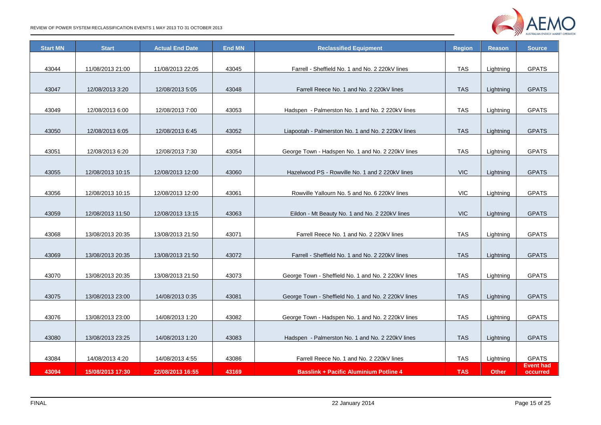

| <b>Start MN</b> | <b>Start</b>     | <b>Actual End Date</b> | <b>End MN</b> | <b>Reclassified Equipment</b>                       | <b>Region</b> | <b>Reason</b> | <b>Source</b>                |
|-----------------|------------------|------------------------|---------------|-----------------------------------------------------|---------------|---------------|------------------------------|
|                 |                  |                        |               |                                                     |               |               |                              |
| 43044           | 11/08/2013 21:00 | 11/08/2013 22:05       | 43045         | Farrell - Sheffield No. 1 and No. 2 220kV lines     | <b>TAS</b>    | Lightning     | <b>GPATS</b>                 |
|                 |                  |                        |               |                                                     |               |               |                              |
| 43047           | 12/08/2013 3:20  | 12/08/2013 5:05        | 43048         | Farrell Reece No. 1 and No. 2 220kV lines           | <b>TAS</b>    | Lightning     | <b>GPATS</b>                 |
| 43049           | 12/08/2013 6:00  | 12/08/2013 7:00        | 43053         | Hadspen - Palmerston No. 1 and No. 2 220kV lines    | <b>TAS</b>    | Lightning     | <b>GPATS</b>                 |
|                 |                  |                        |               |                                                     |               |               |                              |
| 43050           | 12/08/2013 6:05  | 12/08/2013 6:45        | 43052         | Liapootah - Palmerston No. 1 and No. 2 220kV lines  | <b>TAS</b>    | Lightning     | <b>GPATS</b>                 |
|                 |                  |                        |               |                                                     |               |               |                              |
| 43051           | 12/08/2013 6:20  | 12/08/2013 7:30        | 43054         | George Town - Hadspen No. 1 and No. 2 220kV lines   | <b>TAS</b>    | Lightning     | <b>GPATS</b>                 |
| 43055           | 12/08/2013 10:15 | 12/08/2013 12:00       | 43060         | Hazelwood PS - Rowville No. 1 and 2 220kV lines     | <b>VIC</b>    | Lightning     | <b>GPATS</b>                 |
|                 |                  |                        |               |                                                     |               |               |                              |
| 43056           | 12/08/2013 10:15 | 12/08/2013 12:00       | 43061         | Rowville Yallourn No. 5 and No. 6 220kV lines       | <b>VIC</b>    | Lightning     | <b>GPATS</b>                 |
|                 |                  |                        |               |                                                     |               |               |                              |
| 43059           | 12/08/2013 11:50 | 12/08/2013 13:15       | 43063         | Eildon - Mt Beauty No. 1 and No. 2 220kV lines      | <b>VIC</b>    | Lightning     | <b>GPATS</b>                 |
|                 |                  |                        |               |                                                     |               |               |                              |
| 43068           | 13/08/2013 20:35 | 13/08/2013 21:50       | 43071         | Farrell Reece No. 1 and No. 2 220kV lines           | <b>TAS</b>    | Lightning     | <b>GPATS</b>                 |
|                 |                  |                        |               |                                                     |               |               |                              |
| 43069           | 13/08/2013 20:35 | 13/08/2013 21:50       | 43072         | Farrell - Sheffield No. 1 and No. 2 220kV lines     | <b>TAS</b>    | Lightning     | <b>GPATS</b>                 |
|                 |                  |                        |               |                                                     |               |               |                              |
| 43070           | 13/08/2013 20:35 | 13/08/2013 21:50       | 43073         | George Town - Sheffield No. 1 and No. 2 220kV lines | <b>TAS</b>    | Lightning     | <b>GPATS</b>                 |
|                 |                  |                        |               |                                                     |               |               |                              |
| 43075           | 13/08/2013 23:00 | 14/08/2013 0:35        | 43081         | George Town - Sheffield No. 1 and No. 2 220kV lines | <b>TAS</b>    | Lightning     | <b>GPATS</b>                 |
|                 |                  |                        |               |                                                     |               |               |                              |
| 43076           | 13/08/2013 23:00 | 14/08/2013 1:20        | 43082         | George Town - Hadspen No. 1 and No. 2 220kV lines   | TAS           | Lightning     | <b>GPATS</b>                 |
| 43080           | 13/08/2013 23:25 | 14/08/2013 1:20        | 43083         | Hadspen - Palmerston No. 1 and No. 2 220kV lines    | <b>TAS</b>    | Lightning     | <b>GPATS</b>                 |
|                 |                  |                        |               |                                                     |               |               |                              |
| 43084           | 14/08/2013 4:20  | 14/08/2013 4:55        | 43086         | Farrell Reece No. 1 and No. 2 220kV lines           | TAS           | Lightning     | <b>GPATS</b>                 |
| 43094           | 15/08/2013 17:30 | 22/08/2013 16:55       | 43169         | <b>Basslink + Pacific Aluminium Potline 4</b>       | <b>TAS</b>    | <b>Other</b>  | <b>Event had</b><br>occurred |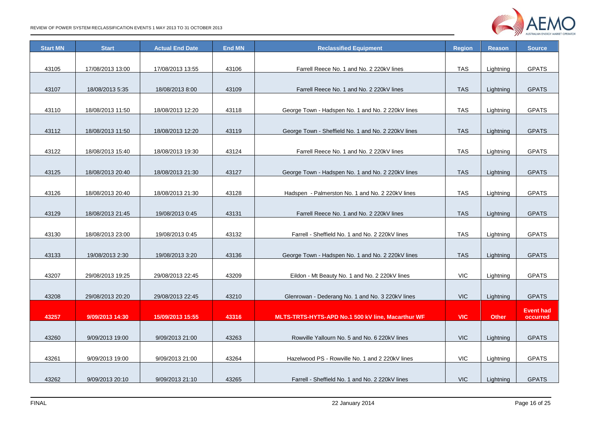

| <b>Start MN</b> | <b>Start</b>     | <b>Actual End Date</b> | <b>End MN</b> | <b>Reclassified Equipment</b>                       | <b>Region</b> | <b>Reason</b> | <b>Source</b>    |
|-----------------|------------------|------------------------|---------------|-----------------------------------------------------|---------------|---------------|------------------|
|                 |                  |                        |               |                                                     |               |               |                  |
| 43105           | 17/08/2013 13:00 | 17/08/2013 13:55       | 43106         | Farrell Reece No. 1 and No. 2 220kV lines           | <b>TAS</b>    | Lightning     | <b>GPATS</b>     |
| 43107           | 18/08/2013 5:35  | 18/08/2013 8:00        | 43109         | Farrell Reece No. 1 and No. 2 220kV lines           | <b>TAS</b>    | Lightning     | <b>GPATS</b>     |
|                 |                  |                        |               |                                                     |               |               |                  |
| 43110           | 18/08/2013 11:50 | 18/08/2013 12:20       | 43118         | George Town - Hadspen No. 1 and No. 2 220kV lines   | <b>TAS</b>    | Lightning     | <b>GPATS</b>     |
|                 |                  |                        |               |                                                     |               |               |                  |
| 43112           | 18/08/2013 11:50 | 18/08/2013 12:20       | 43119         | George Town - Sheffield No. 1 and No. 2 220kV lines | <b>TAS</b>    | Lightning     | <b>GPATS</b>     |
|                 |                  |                        |               |                                                     |               |               |                  |
| 43122           | 18/08/2013 15:40 | 18/08/2013 19:30       | 43124         | Farrell Reece No. 1 and No. 2 220kV lines           | <b>TAS</b>    | Lightning     | <b>GPATS</b>     |
|                 |                  |                        |               |                                                     |               |               |                  |
| 43125           | 18/08/2013 20:40 | 18/08/2013 21:30       | 43127         | George Town - Hadspen No. 1 and No. 2 220kV lines   | <b>TAS</b>    | Lightning     | <b>GPATS</b>     |
|                 |                  |                        |               |                                                     |               |               |                  |
| 43126           | 18/08/2013 20:40 | 18/08/2013 21:30       | 43128         | Hadspen - Palmerston No. 1 and No. 2 220kV lines    | <b>TAS</b>    | Lightning     | <b>GPATS</b>     |
|                 |                  |                        |               |                                                     |               |               |                  |
| 43129           | 18/08/2013 21:45 | 19/08/2013 0:45        | 43131         | Farrell Reece No. 1 and No. 2 220kV lines           | <b>TAS</b>    | Lightning     | <b>GPATS</b>     |
|                 |                  |                        |               |                                                     |               |               |                  |
| 43130           | 18/08/2013 23:00 | 19/08/2013 0:45        | 43132         | Farrell - Sheffield No. 1 and No. 2 220kV lines     | <b>TAS</b>    | Lightning     | <b>GPATS</b>     |
|                 |                  |                        |               |                                                     |               |               |                  |
| 43133           | 19/08/2013 2:30  | 19/08/2013 3:20        | 43136         | George Town - Hadspen No. 1 and No. 2 220kV lines   | <b>TAS</b>    | Lightning     | <b>GPATS</b>     |
|                 |                  |                        |               |                                                     |               |               |                  |
| 43207           | 29/08/2013 19:25 | 29/08/2013 22:45       | 43209         | Eildon - Mt Beauty No. 1 and No. 2 220kV lines      | <b>VIC</b>    | Lightning     | <b>GPATS</b>     |
|                 |                  |                        |               |                                                     |               |               |                  |
| 43208           | 29/08/2013 20:20 | 29/08/2013 22:45       | 43210         | Glenrowan - Dederang No. 1 and No. 3 220kV lines    | <b>VIC</b>    | Lightning     | <b>GPATS</b>     |
|                 |                  |                        |               |                                                     |               |               | <b>Event had</b> |
| 43257           | 9/09/2013 14:30  | 15/09/2013 15:55       | 43316         | MLTS-TRTS-HYTS-APD No.1 500 kV line, Macarthur WF   | <b>VIC</b>    | Other         | occurred         |
|                 |                  |                        |               |                                                     |               |               |                  |
| 43260           | 9/09/2013 19:00  | 9/09/2013 21:00        | 43263         | Rowville Yallourn No. 5 and No. 6 220kV lines       | <b>VIC</b>    | Lightning     | <b>GPATS</b>     |
|                 |                  |                        |               |                                                     |               |               |                  |
| 43261           | 9/09/2013 19:00  | 9/09/2013 21:00        | 43264         | Hazelwood PS - Rowville No. 1 and 2 220kV lines     | <b>VIC</b>    | Lightning     | <b>GPATS</b>     |
|                 |                  |                        |               |                                                     |               |               |                  |
| 43262           | 9/09/2013 20:10  | 9/09/2013 21:10        | 43265         | Farrell - Sheffield No. 1 and No. 2 220kV lines     | <b>VIC</b>    | Lightning     | <b>GPATS</b>     |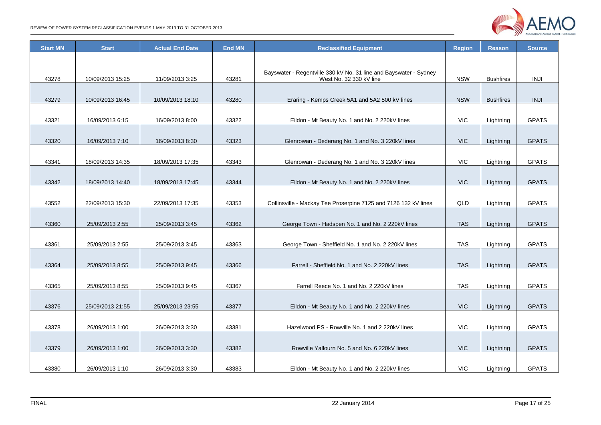

| <b>Start MN</b> | <b>Start</b>     | <b>Actual End Date</b> | <b>End MN</b> | <b>Reclassified Equipment</b>                                     |            | <b>Reason</b>    | <b>Source</b> |
|-----------------|------------------|------------------------|---------------|-------------------------------------------------------------------|------------|------------------|---------------|
|                 |                  |                        |               |                                                                   |            |                  |               |
|                 |                  |                        |               | Bayswater - Regentville 330 kV No. 31 line and Bayswater - Sydney |            |                  |               |
| 43278           | 10/09/2013 15:25 | 11/09/2013 3:25        | 43281         | West No. 32 330 kV line                                           | <b>NSW</b> | <b>Bushfires</b> | <b>INJI</b>   |
|                 |                  |                        |               |                                                                   |            |                  |               |
| 43279           | 10/09/2013 16:45 | 10/09/2013 18:10       | 43280         | Eraring - Kemps Creek 5A1 and 5A2 500 kV lines                    | <b>NSW</b> | <b>Bushfires</b> | <b>INJI</b>   |
| 43321           | 16/09/2013 6:15  | 16/09/2013 8:00        | 43322         | Eildon - Mt Beauty No. 1 and No. 2 220kV lines                    | <b>VIC</b> | Lightning        | <b>GPATS</b>  |
|                 |                  |                        |               |                                                                   |            |                  |               |
| 43320           | 16/09/2013 7:10  | 16/09/2013 8:30        | 43323         | Glenrowan - Dederang No. 1 and No. 3 220kV lines                  | <b>VIC</b> | Lightning        | <b>GPATS</b>  |
|                 |                  |                        |               |                                                                   |            |                  |               |
| 43341           | 18/09/2013 14:35 | 18/09/2013 17:35       | 43343         | Glenrowan - Dederang No. 1 and No. 3 220kV lines                  | <b>VIC</b> | Lightning        | <b>GPATS</b>  |
|                 |                  |                        |               |                                                                   |            |                  |               |
| 43342           | 18/09/2013 14:40 | 18/09/2013 17:45       | 43344         | Eildon - Mt Beauty No. 1 and No. 2 220kV lines                    | <b>VIC</b> | Lightning        | <b>GPATS</b>  |
|                 |                  |                        |               |                                                                   |            |                  |               |
| 43552           | 22/09/2013 15:30 | 22/09/2013 17:35       | 43353         | Collinsville - Mackay Tee Proserpine 7125 and 7126 132 kV lines   | QLD        | Lightning        | <b>GPATS</b>  |
|                 |                  |                        |               |                                                                   |            |                  |               |
| 43360           | 25/09/2013 2:55  | 25/09/2013 3:45        | 43362         | George Town - Hadspen No. 1 and No. 2 220kV lines                 | <b>TAS</b> | Lightning        | <b>GPATS</b>  |
| 43361           | 25/09/2013 2:55  | 25/09/2013 3:45        | 43363         | George Town - Sheffield No. 1 and No. 2 220kV lines               | <b>TAS</b> | Lightning        | <b>GPATS</b>  |
|                 |                  |                        |               |                                                                   |            |                  |               |
| 43364           | 25/09/2013 8:55  | 25/09/2013 9:45        | 43366         | Farrell - Sheffield No. 1 and No. 2 220kV lines                   | <b>TAS</b> | Lightning        | <b>GPATS</b>  |
|                 |                  |                        |               |                                                                   |            |                  |               |
| 43365           | 25/09/2013 8:55  | 25/09/2013 9:45        | 43367         | Farrell Reece No. 1 and No. 2 220kV lines                         | <b>TAS</b> | Lightning        | <b>GPATS</b>  |
|                 |                  |                        |               |                                                                   |            |                  |               |
| 43376           | 25/09/2013 21:55 | 25/09/2013 23:55       | 43377         | Eildon - Mt Beauty No. 1 and No. 2 220kV lines                    | <b>VIC</b> | Lightning        | <b>GPATS</b>  |
|                 |                  |                        |               |                                                                   |            |                  |               |
| 43378           | 26/09/2013 1:00  | 26/09/2013 3:30        | 43381         | Hazelwood PS - Rowville No. 1 and 2 220kV lines<br>VIC            |            | Lightning        | <b>GPATS</b>  |
|                 |                  |                        |               |                                                                   |            |                  |               |
| 43379           | 26/09/2013 1:00  | 26/09/2013 3:30        | 43382         | Rowville Yallourn No. 5 and No. 6 220kV lines                     | <b>VIC</b> | Lightning        | <b>GPATS</b>  |
|                 |                  |                        |               |                                                                   |            |                  |               |
| 43380           | 26/09/2013 1:10  | 26/09/2013 3:30        | 43383         | Eildon - Mt Beauty No. 1 and No. 2 220kV lines                    | VIC.       | Lightning        | <b>GPATS</b>  |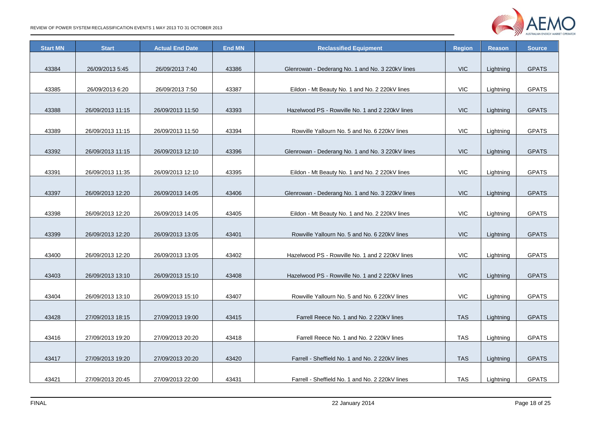

| <b>Start MN</b> | <b>Start</b>     | <b>Actual End Date</b> | <b>End MN</b> | <b>Reclassified Equipment</b>                    | <b>Region</b> | <b>Reason</b> | <b>Source</b> |
|-----------------|------------------|------------------------|---------------|--------------------------------------------------|---------------|---------------|---------------|
|                 |                  |                        |               |                                                  |               |               |               |
| 43384           | 26/09/2013 5:45  | 26/09/2013 7:40        | 43386         | Glenrowan - Dederang No. 1 and No. 3 220kV lines | <b>VIC</b>    | Lightning     | <b>GPATS</b>  |
|                 |                  |                        |               |                                                  |               |               |               |
| 43385           | 26/09/2013 6:20  | 26/09/2013 7:50        | 43387         | Eildon - Mt Beauty No. 1 and No. 2 220kV lines   | <b>VIC</b>    | Lightning     | <b>GPATS</b>  |
|                 |                  |                        |               |                                                  |               |               |               |
| 43388           | 26/09/2013 11:15 | 26/09/2013 11:50       | 43393         | Hazelwood PS - Rowville No. 1 and 2 220kV lines  | <b>VIC</b>    | Lightning     | <b>GPATS</b>  |
| 43389           |                  |                        | 43394         | Rowville Yallourn No. 5 and No. 6 220kV lines    | <b>VIC</b>    |               | <b>GPATS</b>  |
|                 | 26/09/2013 11:15 | 26/09/2013 11:50       |               |                                                  |               | Lightning     |               |
| 43392           | 26/09/2013 11:15 | 26/09/2013 12:10       | 43396         | Glenrowan - Dederang No. 1 and No. 3 220kV lines | <b>VIC</b>    | Lightning     | <b>GPATS</b>  |
|                 |                  |                        |               |                                                  |               |               |               |
| 43391           | 26/09/2013 11:35 | 26/09/2013 12:10       | 43395         | Eildon - Mt Beauty No. 1 and No. 2 220kV lines   | <b>VIC</b>    | Lightning     | <b>GPATS</b>  |
|                 |                  |                        |               |                                                  |               |               |               |
| 43397           | 26/09/2013 12:20 | 26/09/2013 14:05       | 43406         | Glenrowan - Dederang No. 1 and No. 3 220kV lines |               | Lightning     | <b>GPATS</b>  |
|                 |                  |                        |               |                                                  |               |               |               |
| 43398           | 26/09/2013 12:20 | 26/09/2013 14:05       | 43405         | Eildon - Mt Beauty No. 1 and No. 2 220kV lines   | <b>VIC</b>    | Lightning     | <b>GPATS</b>  |
|                 |                  |                        |               |                                                  |               |               |               |
| 43399           | 26/09/2013 12:20 | 26/09/2013 13:05       | 43401         | Rowville Yallourn No. 5 and No. 6 220kV lines    | <b>VIC</b>    | Lightning     | <b>GPATS</b>  |
|                 |                  |                        |               |                                                  |               |               |               |
| 43400           | 26/09/2013 12:20 | 26/09/2013 13:05       | 43402         | Hazelwood PS - Rowville No. 1 and 2 220kV lines  | <b>VIC</b>    | Lightning     | <b>GPATS</b>  |
|                 |                  |                        |               |                                                  |               |               |               |
| 43403           | 26/09/2013 13:10 | 26/09/2013 15:10       | 43408         | Hazelwood PS - Rowville No. 1 and 2 220kV lines  | <b>VIC</b>    | Lightning     | <b>GPATS</b>  |
| 43404           |                  |                        |               |                                                  | <b>VIC</b>    |               | <b>GPATS</b>  |
|                 | 26/09/2013 13:10 | 26/09/2013 15:10       | 43407         | Rowville Yallourn No. 5 and No. 6 220kV lines    |               | Lightning     |               |
| 43428           | 27/09/2013 18:15 | 27/09/2013 19:00       | 43415         | Farrell Reece No. 1 and No. 2 220kV lines        | <b>TAS</b>    | Lightning     | <b>GPATS</b>  |
|                 |                  |                        |               |                                                  |               |               |               |
| 43416           | 27/09/2013 19:20 | 27/09/2013 20:20       | 43418         | Farrell Reece No. 1 and No. 2 220kV lines        | <b>TAS</b>    | Lightning     | <b>GPATS</b>  |
|                 |                  |                        |               |                                                  |               |               |               |
| 43417           | 27/09/2013 19:20 | 27/09/2013 20:20       | 43420         | Farrell - Sheffield No. 1 and No. 2 220kV lines  | <b>TAS</b>    | Lightning     | <b>GPATS</b>  |
|                 |                  |                        |               |                                                  |               |               |               |
| 43421           | 27/09/2013 20:45 | 27/09/2013 22:00       | 43431         | Farrell - Sheffield No. 1 and No. 2 220kV lines  | TAS           | Lightning     | <b>GPATS</b>  |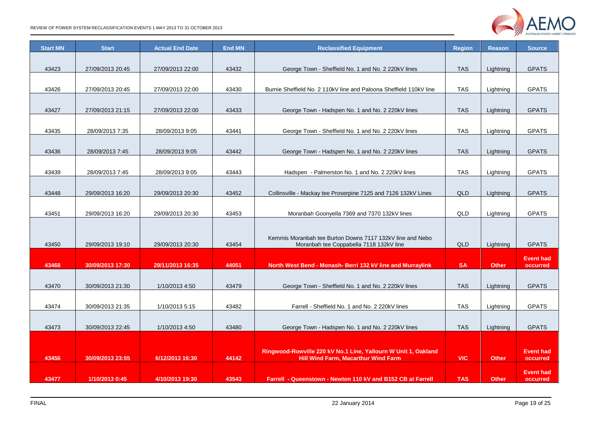

| <b>Start MN</b> | <b>Start</b>     | <b>Actual End Date</b> | <b>End MN</b> | <b>Reclassified Equipment</b>                                                                                | <b>Region</b> | <b>Reason</b> | <b>Source</b>                |
|-----------------|------------------|------------------------|---------------|--------------------------------------------------------------------------------------------------------------|---------------|---------------|------------------------------|
|                 |                  |                        |               |                                                                                                              |               |               |                              |
| 43423           | 27/09/2013 20:45 | 27/09/2013 22:00       | 43432         | George Town - Sheffield No. 1 and No. 2 220kV lines                                                          | <b>TAS</b>    | Lightning     | <b>GPATS</b>                 |
| 43426           | 27/09/2013 20:45 | 27/09/2013 22:00       | 43430         | Burnie Sheffield No. 2 110kV line and Paloona Sheffield 110kV line                                           | <b>TAS</b>    | Lightning     | <b>GPATS</b>                 |
|                 |                  |                        |               |                                                                                                              |               |               |                              |
| 43427           | 27/09/2013 21:15 | 27/09/2013 22:00       | 43433         | George Town - Hadspen No. 1 and No. 2 220kV lines                                                            | <b>TAS</b>    | Lightning     | <b>GPATS</b>                 |
|                 |                  |                        |               |                                                                                                              |               |               |                              |
| 43435           | 28/09/2013 7:35  | 28/09/2013 9:05        | 43441         | George Town - Sheffield No. 1 and No. 2 220kV lines                                                          | <b>TAS</b>    | Lightning     | <b>GPATS</b>                 |
|                 |                  |                        |               |                                                                                                              |               |               |                              |
| 43436           | 28/09/2013 7:45  | 28/09/2013 9:05        | 43442         | George Town - Hadspen No. 1 and No. 2 220kV lines                                                            | <b>TAS</b>    | Lightning     | <b>GPATS</b>                 |
|                 |                  |                        |               |                                                                                                              |               |               |                              |
| 43439           | 28/09/2013 7:45  | 28/09/2013 9:05        | 43443         | Hadspen - Palmerston No. 1 and No. 2 220kV lines                                                             | <b>TAS</b>    | Lightning     | <b>GPATS</b>                 |
|                 |                  |                        |               |                                                                                                              |               |               |                              |
| 43448           | 29/09/2013 16:20 | 29/09/2013 20:30       | 43452         | Collinsville - Mackay tee Proserpine 7125 and 7126 132kV Lines                                               | QLD           | Lightning     | <b>GPATS</b>                 |
|                 |                  |                        |               |                                                                                                              |               |               |                              |
| 43451           | 29/09/2013 16:20 | 29/09/2013 20:30       | 43453         | Moranbah Goonyella 7369 and 7370 132kV lines                                                                 | QLD           | Lightning     | <b>GPATS</b>                 |
|                 |                  |                        |               |                                                                                                              |               |               |                              |
|                 |                  |                        |               | Kemmis Moranbah tee Burton Downs 7117 132kV line and Nebo                                                    |               |               |                              |
| 43450           | 29/09/2013 19:10 | 29/09/2013 20:30       | 43454         | Moranbah tee Coppabella 7118 132kV line                                                                      | QLD           | Lightning     | <b>GPATS</b>                 |
|                 |                  |                        |               |                                                                                                              |               |               | <b>Event had</b>             |
| 43468           | 30/09/2013 17:30 | 29/11/2013 16:35       | 44051         | North West Bend - Monash- Berri 132 kV line and Murraylink                                                   | <b>SA</b>     | <b>Other</b>  | occurred                     |
|                 |                  |                        |               |                                                                                                              |               |               |                              |
| 43470           | 30/09/2013 21:30 | 1/10/2013 4:50         | 43479         | George Town - Sheffield No. 1 and No. 2 220kV lines                                                          | <b>TAS</b>    | Lightning     | <b>GPATS</b>                 |
|                 |                  |                        |               |                                                                                                              |               |               |                              |
| 43474           | 30/09/2013 21:35 | 1/10/2013 5:15         | 43482         | Farrell - Sheffield No. 1 and No. 2 220kV lines                                                              | <b>TAS</b>    | Lightning     | <b>GPATS</b>                 |
|                 |                  |                        |               |                                                                                                              |               |               |                              |
| 43473           | 30/09/2013 22:45 | 1/10/2013 4:50         | 43480         | George Town - Hadspen No. 1 and No. 2 220kV lines                                                            |               | Lightning     | <b>GPATS</b>                 |
|                 |                  |                        |               |                                                                                                              |               |               |                              |
| 43456           | 30/09/2013 23:55 | 6/12/2013 16:30        | 44142         | Ringwood-Rowville 220 kV No.1 Line, Yallourn W Unit 1, Oakland<br><b>Hill Wind Farm, Macarthur Wind Farm</b> | <b>VIC</b>    | <b>Other</b>  | <b>Event had</b><br>occurred |
|                 |                  |                        |               |                                                                                                              |               |               |                              |
| 43477           | 1/10/2013 0:45   | 4/10/2013 19:30        | 43543         | Farrell - Queenstown - Newton 110 kV and B152 CB at Farrell                                                  | <b>TAS</b>    | <b>Other</b>  | <b>Event had</b><br>occurred |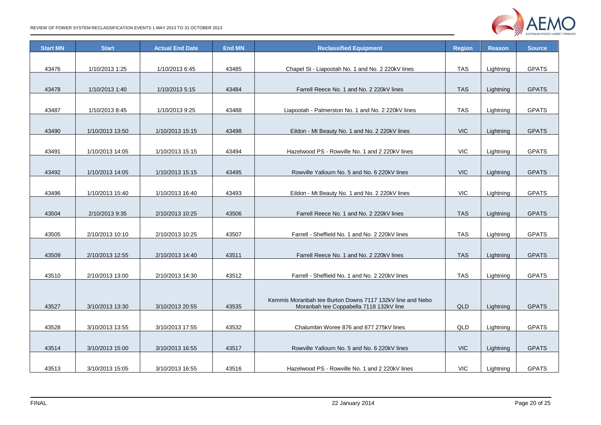

| <b>Start MN</b> | <b>Start</b>    | <b>Actual End Date</b> | <b>End MN</b> | <b>Reclassified Equipment</b>                               | <b>Region</b> | <b>Reason</b> | <b>Source</b> |
|-----------------|-----------------|------------------------|---------------|-------------------------------------------------------------|---------------|---------------|---------------|
|                 |                 |                        |               |                                                             |               |               |               |
| 43476           | 1/10/2013 1:25  | 1/10/2013 6:45         | 43485         | Chapel St - Liapootah No. 1 and No. 2 220kV lines           | <b>TAS</b>    | Lightning     | <b>GPATS</b>  |
|                 |                 |                        |               |                                                             |               |               |               |
| 43478           | 1/10/2013 1:40  | 1/10/2013 5:15         | 43484         | Farrell Reece No. 1 and No. 2 220kV lines                   | <b>TAS</b>    | Lightning     | <b>GPATS</b>  |
|                 |                 |                        |               |                                                             |               |               |               |
| 43487           | 1/10/2013 8:45  | 1/10/2013 9:25         | 43488         | Liapootah - Palmerston No. 1 and No. 2 220kV lines          | <b>TAS</b>    | Lightning     | <b>GPATS</b>  |
|                 |                 |                        |               |                                                             |               |               |               |
| 43490           | 1/10/2013 13:50 | 1/10/2013 15:15        | 43498         | Eildon - Mt Beauty No. 1 and No. 2 220kV lines              | <b>VIC</b>    | Lightning     | <b>GPATS</b>  |
|                 |                 |                        |               |                                                             |               |               |               |
| 43491           | 1/10/2013 14:05 | 1/10/2013 15:15        | 43494         | Hazelwood PS - Rowville No. 1 and 2 220kV lines             | <b>VIC</b>    | Lightning     | <b>GPATS</b>  |
|                 |                 |                        |               |                                                             |               |               |               |
| 43492           | 1/10/2013 14:05 | 1/10/2013 15:15        | 43495         | Rowville Yallourn No. 5 and No. 6 220kV lines               | <b>VIC</b>    | Lightning     | <b>GPATS</b>  |
|                 |                 |                        |               |                                                             | <b>VIC</b>    |               |               |
| 43496           | 1/10/2013 15:40 | 1/10/2013 16:40        | 43493         | Eildon - Mt Beauty No. 1 and No. 2 220kV lines              |               | Lightning     | <b>GPATS</b>  |
| 43504           | 2/10/2013 9:35  | 2/10/2013 10:25        | 43506         | Farrell Reece No. 1 and No. 2 220kV lines                   |               | Lightning     | <b>GPATS</b>  |
|                 |                 |                        |               |                                                             | <b>TAS</b>    |               |               |
| 43505           | 2/10/2013 10:10 | 2/10/2013 10:25        | 43507         | Farrell - Sheffield No. 1 and No. 2 220kV lines             | <b>TAS</b>    | Lightning     | <b>GPATS</b>  |
|                 |                 |                        |               |                                                             |               |               |               |
| 43509           | 2/10/2013 12:55 | 2/10/2013 14:40        | 43511         | Farrell Reece No. 1 and No. 2 220kV lines                   | <b>TAS</b>    | Lightning     | <b>GPATS</b>  |
|                 |                 |                        |               |                                                             |               |               |               |
| 43510           | 2/10/2013 13:00 | 2/10/2013 14:30        | 43512         | Farrell - Sheffield No. 1 and No. 2 220kV lines             | <b>TAS</b>    | Lightning     | <b>GPATS</b>  |
|                 |                 |                        |               |                                                             |               |               |               |
|                 |                 |                        |               | Kemmis Moranbah tee Burton Downs 7117 132kV line and Nebo   |               |               |               |
| 43527           | 3/10/2013 13:30 | 3/10/2013 20:55        | 43535         | Moranbah tee Coppabella 7118 132kV line                     | QLD           | Lightning     | <b>GPATS</b>  |
|                 |                 |                        |               |                                                             |               |               |               |
| 43528           | 3/10/2013 13:55 | 3/10/2013 17:55        | 43532         | Chalumbin Woree 876 and 877 275kV lines<br>QLD              |               | Lightning     | <b>GPATS</b>  |
|                 |                 |                        |               |                                                             |               |               |               |
| 43514           | 3/10/2013 15:00 | 3/10/2013 16:55        | 43517         | <b>VIC</b><br>Rowville Yallourn No. 5 and No. 6 220kV lines |               | Lightning     | <b>GPATS</b>  |
|                 |                 |                        |               |                                                             |               |               |               |
| 43513           | 3/10/2013 15:05 | 3/10/2013 16:55        | 43516         | Hazelwood PS - Rowville No. 1 and 2 220kV lines             | Lightning     | <b>GPATS</b>  |               |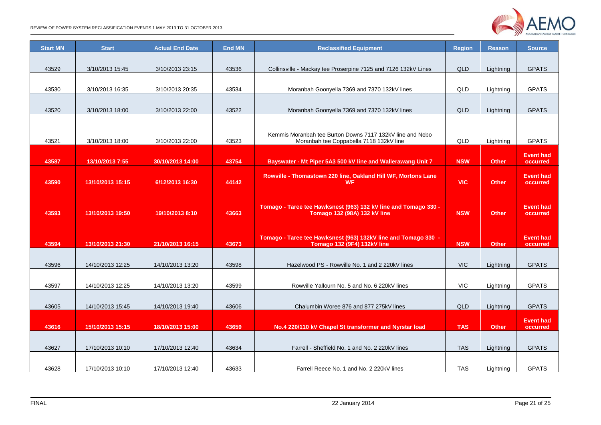

| <b>Start MN</b> | <b>Start</b>     | <b>Actual End Date</b> | <b>End MN</b> | <b>Reclassified Equipment</b>                                              | <b>Region</b> | <b>Reason</b> | <b>Source</b>                |
|-----------------|------------------|------------------------|---------------|----------------------------------------------------------------------------|---------------|---------------|------------------------------|
| 43529           | 3/10/2013 15:45  | 3/10/2013 23:15        | 43536         |                                                                            | QLD           |               | <b>GPATS</b>                 |
|                 |                  |                        |               | Collinsville - Mackay tee Proserpine 7125 and 7126 132kV Lines             |               | Lightning     |                              |
| 43530           | 3/10/2013 16:35  | 3/10/2013 20:35        | 43534         | Moranbah Goonyella 7369 and 7370 132kV lines                               | QLD           | Lightning     | <b>GPATS</b>                 |
|                 |                  |                        |               |                                                                            |               |               |                              |
| 43520           | 3/10/2013 18:00  | 3/10/2013 22:00        | 43522         | Moranbah Goonyella 7369 and 7370 132kV lines                               | QLD           | Lightning     | <b>GPATS</b>                 |
|                 |                  |                        |               |                                                                            |               |               |                              |
|                 |                  |                        |               | Kemmis Moranbah tee Burton Downs 7117 132kV line and Nebo                  |               |               |                              |
| 43521           | 3/10/2013 18:00  | 3/10/2013 22:00        | 43523         | Moranbah tee Coppabella 7118 132kV line                                    | QLD           | Lightning     | <b>GPATS</b>                 |
| 43587           | 13/10/2013 7:55  | 30/10/2013 14:00       | 43754         | Bayswater - Mt Piper 5A3 500 kV line and Wallerawang Unit 7                | <b>NSW</b>    | <b>Other</b>  | <b>Event had</b><br>occurred |
|                 |                  |                        |               |                                                                            |               |               |                              |
| 43590           | 13/10/2013 15:15 | 6/12/2013 16:30        | 44142         | Rowville - Thomastown 220 line, Oakland Hill WF, Mortons Lane<br><b>WF</b> | <b>VIC</b>    | <b>Other</b>  | <b>Event had</b><br>occurred |
|                 |                  |                        |               |                                                                            |               |               |                              |
|                 |                  |                        |               | Tomago - Taree tee Hawksnest (963) 132 kV line and Tomago 330 -            |               |               | <b>Event had</b>             |
| 43593           | 13/10/2013 19:50 | 19/10/2013 8:10        | 43663         | Tomago 132 (98A) 132 kV line                                               | <b>NSW</b>    | <b>Other</b>  | occurred                     |
|                 |                  |                        |               |                                                                            |               |               |                              |
|                 |                  |                        |               | Tomago - Taree tee Hawksnest (963) 132kV line and Tomago 330 -             |               |               | <b>Event had</b>             |
| 43594           | 13/10/2013 21:30 | 21/10/2013 16:15       | 43673         | <b>Tomago 132 (9F4) 132kV line</b>                                         | <b>NSW</b>    | <b>Other</b>  | occurred                     |
|                 |                  |                        |               |                                                                            |               |               |                              |
| 43596           | 14/10/2013 12:25 | 14/10/2013 13:20       | 43598         | Hazelwood PS - Rowville No. 1 and 2 220kV lines                            | <b>VIC</b>    | Lightning     | <b>GPATS</b>                 |
|                 |                  |                        |               |                                                                            |               |               |                              |
| 43597           | 14/10/2013 12:25 | 14/10/2013 13:20       | 43599         | Rowville Yallourn No. 5 and No. 6 220kV lines                              | <b>VIC</b>    | Lightning     | <b>GPATS</b>                 |
| 43605           | 14/10/2013 15:45 |                        | 43606         |                                                                            |               | Lightning     | <b>GPATS</b>                 |
|                 |                  | 14/10/2013 19:40       |               | Chalumbin Woree 876 and 877 275kV lines                                    |               |               |                              |
| 43616           | 15/10/2013 15:15 | 18/10/2013 15:00       | 43659         | No.4 220/110 kV Chapel St transformer and Nyrstar load                     | <b>TAS</b>    | <b>Other</b>  | <b>Event had</b><br>occurred |
|                 |                  |                        |               |                                                                            |               |               |                              |
| 43627           | 17/10/2013 10:10 | 17/10/2013 12:40       | 43634         | Farrell - Sheffield No. 1 and No. 2 220kV lines                            |               | Lightning     | <b>GPATS</b>                 |
|                 |                  |                        |               |                                                                            | <b>TAS</b>    |               |                              |
| 43628           | 17/10/2013 10:10 | 17/10/2013 12:40       | 43633         | Farrell Reece No. 1 and No. 2 220kV lines                                  |               | Lightning     | <b>GPATS</b>                 |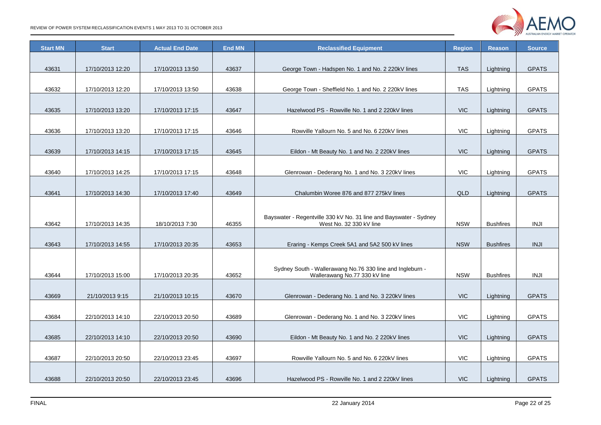

| <b>Start</b>     | <b>Actual End Date</b>                                                                                                                                                          | <b>End MN</b>                                                                                                                                                                   | <b>Reclassified Equipment</b>                                                          |                                                                                                                                                                                                                                                                                                                                                                                                                              | <b>Reason</b>                                                                                                                            | <b>Source</b>                                                                                                                          |
|------------------|---------------------------------------------------------------------------------------------------------------------------------------------------------------------------------|---------------------------------------------------------------------------------------------------------------------------------------------------------------------------------|----------------------------------------------------------------------------------------|------------------------------------------------------------------------------------------------------------------------------------------------------------------------------------------------------------------------------------------------------------------------------------------------------------------------------------------------------------------------------------------------------------------------------|------------------------------------------------------------------------------------------------------------------------------------------|----------------------------------------------------------------------------------------------------------------------------------------|
|                  |                                                                                                                                                                                 |                                                                                                                                                                                 |                                                                                        |                                                                                                                                                                                                                                                                                                                                                                                                                              |                                                                                                                                          |                                                                                                                                        |
| 17/10/2013 12:20 | 17/10/2013 13:50                                                                                                                                                                | 43637                                                                                                                                                                           | George Town - Hadspen No. 1 and No. 2 220kV lines                                      | <b>TAS</b>                                                                                                                                                                                                                                                                                                                                                                                                                   | Lightning                                                                                                                                | <b>GPATS</b>                                                                                                                           |
|                  |                                                                                                                                                                                 |                                                                                                                                                                                 |                                                                                        |                                                                                                                                                                                                                                                                                                                                                                                                                              |                                                                                                                                          |                                                                                                                                        |
| 17/10/2013 12:20 | 17/10/2013 13:50                                                                                                                                                                | 43638                                                                                                                                                                           | George Town - Sheffield No. 1 and No. 2 220kV lines                                    | <b>TAS</b>                                                                                                                                                                                                                                                                                                                                                                                                                   | Lightning                                                                                                                                | <b>GPATS</b>                                                                                                                           |
|                  |                                                                                                                                                                                 |                                                                                                                                                                                 |                                                                                        |                                                                                                                                                                                                                                                                                                                                                                                                                              |                                                                                                                                          |                                                                                                                                        |
| 17/10/2013 13:20 | 17/10/2013 17:15                                                                                                                                                                | 43647                                                                                                                                                                           | Hazelwood PS - Rowville No. 1 and 2 220kV lines                                        | <b>VIC</b>                                                                                                                                                                                                                                                                                                                                                                                                                   | Lightning                                                                                                                                | <b>GPATS</b>                                                                                                                           |
|                  |                                                                                                                                                                                 |                                                                                                                                                                                 |                                                                                        |                                                                                                                                                                                                                                                                                                                                                                                                                              |                                                                                                                                          |                                                                                                                                        |
| 17/10/2013 13:20 | 17/10/2013 17:15                                                                                                                                                                | 43646                                                                                                                                                                           | Rowville Yallourn No. 5 and No. 6 220kV lines                                          | <b>VIC</b>                                                                                                                                                                                                                                                                                                                                                                                                                   | Lightning                                                                                                                                | <b>GPATS</b>                                                                                                                           |
|                  |                                                                                                                                                                                 |                                                                                                                                                                                 |                                                                                        |                                                                                                                                                                                                                                                                                                                                                                                                                              |                                                                                                                                          |                                                                                                                                        |
| 17/10/2013 14:15 | 17/10/2013 17:15                                                                                                                                                                | 43645                                                                                                                                                                           | Eildon - Mt Beauty No. 1 and No. 2 220kV lines                                         |                                                                                                                                                                                                                                                                                                                                                                                                                              | Lightning                                                                                                                                | <b>GPATS</b>                                                                                                                           |
|                  |                                                                                                                                                                                 |                                                                                                                                                                                 |                                                                                        |                                                                                                                                                                                                                                                                                                                                                                                                                              |                                                                                                                                          |                                                                                                                                        |
| 17/10/2013 14:25 | 17/10/2013 17:15                                                                                                                                                                |                                                                                                                                                                                 |                                                                                        |                                                                                                                                                                                                                                                                                                                                                                                                                              | Lightning                                                                                                                                | <b>GPATS</b>                                                                                                                           |
|                  |                                                                                                                                                                                 |                                                                                                                                                                                 |                                                                                        |                                                                                                                                                                                                                                                                                                                                                                                                                              |                                                                                                                                          |                                                                                                                                        |
|                  |                                                                                                                                                                                 |                                                                                                                                                                                 | Chalumbin Woree 876 and 877 275kV lines                                                |                                                                                                                                                                                                                                                                                                                                                                                                                              |                                                                                                                                          | <b>GPATS</b>                                                                                                                           |
|                  |                                                                                                                                                                                 |                                                                                                                                                                                 |                                                                                        |                                                                                                                                                                                                                                                                                                                                                                                                                              |                                                                                                                                          |                                                                                                                                        |
|                  |                                                                                                                                                                                 |                                                                                                                                                                                 | Bayswater - Regentville 330 kV No. 31 line and Bayswater - Sydney                      |                                                                                                                                                                                                                                                                                                                                                                                                                              |                                                                                                                                          |                                                                                                                                        |
|                  |                                                                                                                                                                                 |                                                                                                                                                                                 |                                                                                        |                                                                                                                                                                                                                                                                                                                                                                                                                              |                                                                                                                                          | <b>INJI</b>                                                                                                                            |
|                  |                                                                                                                                                                                 |                                                                                                                                                                                 |                                                                                        |                                                                                                                                                                                                                                                                                                                                                                                                                              |                                                                                                                                          |                                                                                                                                        |
|                  |                                                                                                                                                                                 |                                                                                                                                                                                 |                                                                                        |                                                                                                                                                                                                                                                                                                                                                                                                                              |                                                                                                                                          | <b>INJI</b>                                                                                                                            |
|                  |                                                                                                                                                                                 |                                                                                                                                                                                 |                                                                                        |                                                                                                                                                                                                                                                                                                                                                                                                                              |                                                                                                                                          |                                                                                                                                        |
|                  |                                                                                                                                                                                 |                                                                                                                                                                                 | Sydney South - Wallerawang No.76 330 line and Ingleburn -                              |                                                                                                                                                                                                                                                                                                                                                                                                                              |                                                                                                                                          |                                                                                                                                        |
|                  |                                                                                                                                                                                 |                                                                                                                                                                                 |                                                                                        |                                                                                                                                                                                                                                                                                                                                                                                                                              |                                                                                                                                          | <b>INJI</b>                                                                                                                            |
|                  |                                                                                                                                                                                 |                                                                                                                                                                                 |                                                                                        |                                                                                                                                                                                                                                                                                                                                                                                                                              |                                                                                                                                          | <b>GPATS</b>                                                                                                                           |
|                  |                                                                                                                                                                                 |                                                                                                                                                                                 |                                                                                        |                                                                                                                                                                                                                                                                                                                                                                                                                              |                                                                                                                                          |                                                                                                                                        |
|                  |                                                                                                                                                                                 |                                                                                                                                                                                 |                                                                                        |                                                                                                                                                                                                                                                                                                                                                                                                                              |                                                                                                                                          | <b>GPATS</b>                                                                                                                           |
|                  |                                                                                                                                                                                 |                                                                                                                                                                                 |                                                                                        |                                                                                                                                                                                                                                                                                                                                                                                                                              |                                                                                                                                          |                                                                                                                                        |
|                  |                                                                                                                                                                                 |                                                                                                                                                                                 |                                                                                        |                                                                                                                                                                                                                                                                                                                                                                                                                              |                                                                                                                                          | <b>GPATS</b>                                                                                                                           |
|                  |                                                                                                                                                                                 |                                                                                                                                                                                 |                                                                                        |                                                                                                                                                                                                                                                                                                                                                                                                                              |                                                                                                                                          |                                                                                                                                        |
|                  |                                                                                                                                                                                 |                                                                                                                                                                                 |                                                                                        |                                                                                                                                                                                                                                                                                                                                                                                                                              |                                                                                                                                          | <b>GPATS</b>                                                                                                                           |
|                  |                                                                                                                                                                                 |                                                                                                                                                                                 |                                                                                        |                                                                                                                                                                                                                                                                                                                                                                                                                              |                                                                                                                                          |                                                                                                                                        |
|                  |                                                                                                                                                                                 |                                                                                                                                                                                 |                                                                                        |                                                                                                                                                                                                                                                                                                                                                                                                                              |                                                                                                                                          | <b>GPATS</b>                                                                                                                           |
|                  | 17/10/2013 14:30<br>17/10/2013 14:35<br>17/10/2013 14:55<br>17/10/2013 15:00<br>21/10/2013 9:15<br>22/10/2013 14:10<br>22/10/2013 14:10<br>22/10/2013 20:50<br>22/10/2013 20:50 | 17/10/2013 17:40<br>18/10/2013 7:30<br>17/10/2013 20:35<br>17/10/2013 20:35<br>21/10/2013 10:15<br>22/10/2013 20:50<br>22/10/2013 20:50<br>22/10/2013 23:45<br>22/10/2013 23:45 | 43648<br>43649<br>46355<br>43653<br>43652<br>43670<br>43689<br>43690<br>43697<br>43696 | Glenrowan - Dederang No. 1 and No. 3 220kV lines<br>West No. 32 330 kV line<br>Eraring - Kemps Creek 5A1 and 5A2 500 kV lines<br>Wallerawang No.77 330 kV line<br>Glenrowan - Dederang No. 1 and No. 3 220kV lines<br>Glenrowan - Dederang No. 1 and No. 3 220kV lines<br>Eildon - Mt Beauty No. 1 and No. 2 220kV lines<br>Rowville Yallourn No. 5 and No. 6 220kV lines<br>Hazelwood PS - Rowville No. 1 and 2 220kV lines | <b>Region</b><br><b>VIC</b><br><b>VIC</b><br>QLD<br><b>NSW</b><br><b>NSW</b><br><b>NSW</b><br>VIC.<br>VIC.<br>VIC.<br><b>VIC</b><br>VIC. | Lightning<br><b>Bushfires</b><br><b>Bushfires</b><br><b>Bushfires</b><br>Lightning<br>Lightning<br>Lightning<br>Lightning<br>Lightning |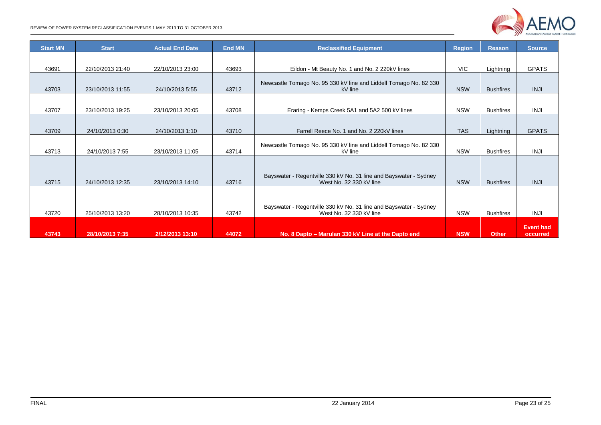| <b>Start MN</b> | <b>Start</b>     | <b>Actual End Date</b> | <b>End MN</b> | <b>Reclassified Equipment</b>                                                                | <b>Region</b> | <b>Reason</b>    | <b>Source</b>                |
|-----------------|------------------|------------------------|---------------|----------------------------------------------------------------------------------------------|---------------|------------------|------------------------------|
|                 |                  |                        |               |                                                                                              |               |                  |                              |
| 43691           | 22/10/2013 21:40 | 22/10/2013 23:00       | 43693         | Eildon - Mt Beauty No. 1 and No. 2 220kV lines                                               | <b>VIC</b>    | Lightning        | <b>GPATS</b>                 |
| 43703           | 23/10/2013 11:55 | 24/10/2013 5:55        | 43712         | Newcastle Tomago No. 95 330 kV line and Liddell Tomago No. 82 330<br>kV line                 | <b>NSW</b>    | <b>Bushfires</b> | <b>INJI</b>                  |
| 43707           | 23/10/2013 19:25 | 23/10/2013 20:05       | 43708         | Eraring - Kemps Creek 5A1 and 5A2 500 kV lines                                               | <b>NSW</b>    | <b>Bushfires</b> | <b>INJI</b>                  |
| 43709           | 24/10/2013 0:30  | 24/10/2013 1:10        | 43710         | Farrell Reece No. 1 and No. 2 220kV lines                                                    | <b>TAS</b>    | Lightning        | <b>GPATS</b>                 |
| 43713           | 24/10/2013 7:55  | 23/10/2013 11:05       | 43714         | Newcastle Tomago No. 95 330 kV line and Liddell Tomago No. 82 330<br>kV line                 | <b>NSW</b>    | <b>Bushfires</b> | <b>INJI</b>                  |
| 43715           | 24/10/2013 12:35 | 23/10/2013 14:10       | 43716         | Bayswater - Regentville 330 kV No. 31 line and Bayswater - Sydney<br>West No. 32 330 kV line |               | <b>Bushfires</b> | <b>INJI</b>                  |
| 43720           | 25/10/2013 13:20 | 28/10/2013 10:35       | 43742         | Bayswater - Regentville 330 kV No. 31 line and Bayswater - Sydney<br>West No. 32 330 kV line | <b>NSW</b>    | <b>Bushfires</b> | <b>INJI</b>                  |
| 43743           | 28/10/2013 7:35  | 2/12/2013 13:10        | 44072         | No. 8 Dapto – Marulan 330 kV Line at the Dapto end                                           | <b>NSW</b>    | <b>Other</b>     | <b>Event had</b><br>occurred |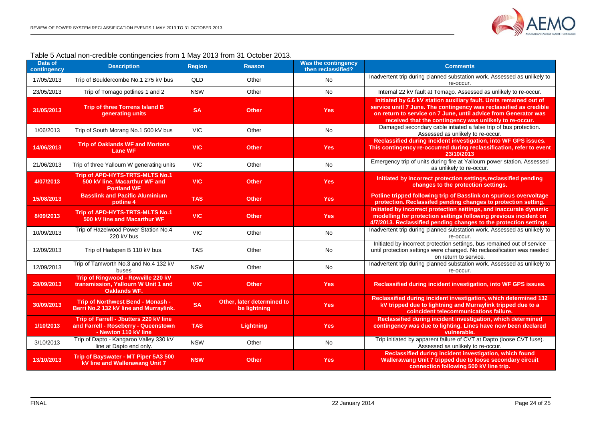

#### Table 5 Actual non-credible contingencies from 1 May 2013 from 31 October 2013.

<span id="page-23-0"></span>

| Data of<br>contingency | <b>Description</b>                                                                                     | <b>Region</b> | <b>Reason</b>                              | <b>Was the contingency</b><br>then reclassified? | <b>Comments</b>                                                                                                                                                                                                                                                        |
|------------------------|--------------------------------------------------------------------------------------------------------|---------------|--------------------------------------------|--------------------------------------------------|------------------------------------------------------------------------------------------------------------------------------------------------------------------------------------------------------------------------------------------------------------------------|
| 17/05/2013             | Trip of Bouldercombe No.1 275 kV bus                                                                   | <b>QLD</b>    | Other                                      | <b>No</b>                                        | Inadvertent trip during planned substation work. Assessed as unlikely to<br>re-occur.                                                                                                                                                                                  |
| 23/05/2013             | Trip of Tomago potlines 1 and 2                                                                        | <b>NSW</b>    | Other                                      | <b>No</b>                                        | Internal 22 kV fault at Tomago. Assessed as unlikely to re-occur.                                                                                                                                                                                                      |
| 31/05/2013             | <b>Trip of three Torrens Island B</b><br>generating units                                              | <b>SA</b>     | <b>Other</b>                               | <b>Yes</b>                                       | Initiated by 6.6 kV station auxiliary fault. Units remained out of<br>service unitl 7 June. The contingency was reclassified as credible<br>on return to service on 7 June, until advice from Generator was<br>received that the contingency was unlikely to re-occur. |
| 1/06/2013              | Trip of South Morang No.1 500 kV bus                                                                   | <b>VIC</b>    | Other                                      | No                                               | Damaged secondary cable intiated a false trip of bus protection.<br>Assessed as unlikely to re-occur.                                                                                                                                                                  |
| 14/06/2013             | <b>Trip of Oaklands WF and Mortons</b><br><b>Lane WF</b>                                               | <b>VIC</b>    | <b>Other</b>                               | <b>Yes</b>                                       | Reclassified during incident investigation, into WF GPS issues.<br>This contingency re-occurred during reclassification, refer to event<br>23/10/2013                                                                                                                  |
| 21/06/2013             | Trip of three Yallourn W generating units                                                              | <b>VIC</b>    | Other                                      | <b>No</b>                                        | Emergency trip of units during fire at Yallourn power station. Assessed<br>as unlikely to re-occur.                                                                                                                                                                    |
| 4/07/2013              | Trip of APD-HYTS-TRTS-MLTS No.1<br>500 kV line, Macarthur WF and<br><b>Portland WF</b>                 | <b>VIC</b>    | <b>Other</b>                               | <b>Yes</b>                                       | Initiated by incorrect protection settings, reclassified pending<br>changes to the protection settings.                                                                                                                                                                |
| 15/08/2013             | <b>Basslink and Pacific Aluminium</b><br>potline 4                                                     | <b>TAS</b>    | <b>Other</b>                               | <b>Yes</b>                                       | Potline tripped following trip of Basslink on spurious overvoltage<br>protection. Reclassifed pending changes to protection setting.                                                                                                                                   |
| 8/09/2013              | Trip of APD-HYTS-TRTS-MLTS No.1<br>500 kV line and Macarthur WF                                        | <b>VIC</b>    | <b>Other</b>                               | <b>Yes</b>                                       | Initiated by incorrect protection settings, and inaccurate dynamic<br>modelling for protection settings following previous incident on<br>4/7/2013. Reclassified pending changes to the protection settings.                                                           |
| 10/09/2013             | Trip of Hazelwood Power Station No.4<br>220 kV bus                                                     | <b>VIC</b>    | Other                                      | No                                               | Inadvertent trip during planned substation work. Assessed as unlikely to<br>re-occur.                                                                                                                                                                                  |
| 12/09/2013             | Trip of Hadspen B 110 kV bus.                                                                          | <b>TAS</b>    | Other                                      | No                                               | Initiated by incorrect protection settings, bus remained out of service<br>until protection settings were changed. No reclassification was needed<br>on return to service.                                                                                             |
| 12/09/2013             | Trip of Tamworth No.3 and No.4 132 kV<br>buses                                                         | <b>NSW</b>    | Other                                      | No                                               | Inadvertent trip during planned substation work. Assessed as unlikely to<br>re-occur.                                                                                                                                                                                  |
| 29/09/2013             | Trip of Ringwood - Rowville 220 kV<br>transmission, Yallourn W Unit 1 and<br><b>Oaklands WF.</b>       | <b>VIC</b>    | <b>Other</b>                               | <b>Yes</b>                                       | Reclassified during incident investigation, into WF GPS issues.                                                                                                                                                                                                        |
| 30/09/2013             | Trip of Northwest Bend - Monash -<br>Berri No.2 132 kV line and Murraylink.                            | <b>SA</b>     | Other, later determined to<br>be lightning | <b>Yes</b>                                       | Reclassified during incident investigation, which determined 132<br>kV tripped due to lightning and Murraylink tripped due to a<br>coincident telecommunications failure.                                                                                              |
| 1/10/2013              | Trip of Farrell - Jbutters 220 kV line<br>and Farrell - Roseberry - Queenstown<br>- Newton 110 kV line | <b>TAS</b>    | <b>Lightning</b>                           | <b>Yes</b>                                       | Reclassified during incident investigation, which determined<br>contingency was due to lighting. Lines have now been declared<br>vulnerable.                                                                                                                           |
| 3/10/2013              | Trip of Dapto - Kangaroo Valley 330 kV<br>line at Dapto end only.                                      | <b>NSW</b>    | Other                                      | No                                               | Trip initiated by apparent failure of CVT at Dapto (loose CVT fuse).<br>Assessed as unlikely to re-occur.                                                                                                                                                              |
| 13/10/2013             | Trip of Bayswater - MT Piper 5A3 500<br>kV line and Wallerawang Unit 7                                 | <b>NSW</b>    | <b>Other</b>                               | <b>Yes</b>                                       | Reclassified during incident investigation, which found<br>Wallerawang Unit 7 tripped due to loose secondary circuit<br>connection following 500 kV line trip.                                                                                                         |